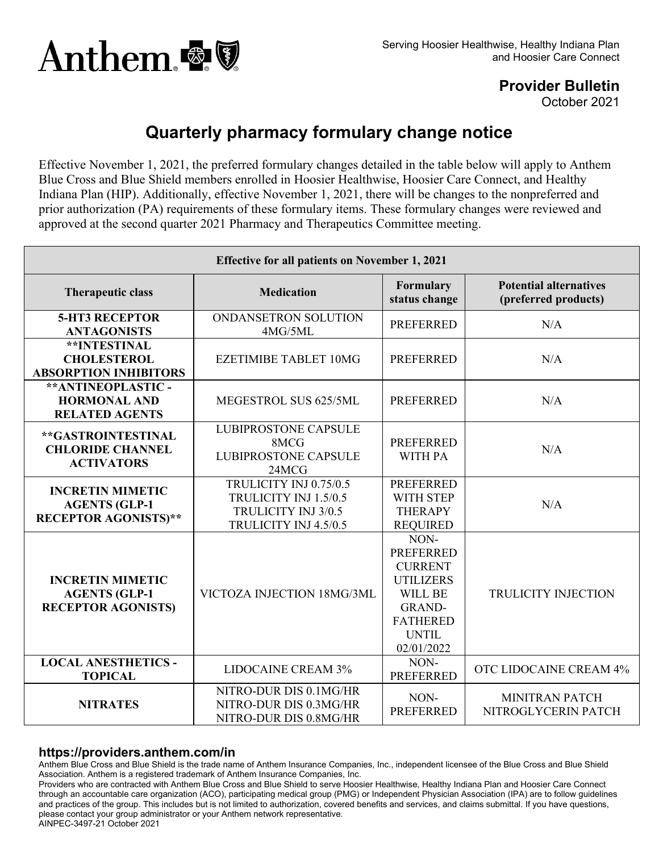

**Provider Bulletin**

October 2021

## **Quarterly pharmacy formulary change notice**

Effective November 1, 2021, the preferred formulary changes detailed in the table below will apply to Anthem Blue Cross and Blue Shield members enrolled in Hoosier Healthwise, Hoosier Care Connect, and Healthy Indiana Plan (HIP). Additionally, effective November 1, 2021, there will be changes to the nonpreferred and prior authorization (PA) requirements of these formulary items. These formulary changes were reviewed and approved at the second quarter 2021 Pharmacy and Therapeutics Committee meeting.

| <b>Effective for all patients on November 1, 2021</b>                          |                                                                                                 |                                                                                                                                             |                                                       |
|--------------------------------------------------------------------------------|-------------------------------------------------------------------------------------------------|---------------------------------------------------------------------------------------------------------------------------------------------|-------------------------------------------------------|
| <b>Therapeutic class</b>                                                       | <b>Medication</b>                                                                               | Formulary<br>status change                                                                                                                  | <b>Potential alternatives</b><br>(preferred products) |
| <b>5-HT3 RECEPTOR</b><br><b>ANTAGONISTS</b>                                    | ONDANSETRON SOLUTION<br>4MG/5ML                                                                 | <b>PREFERRED</b>                                                                                                                            | N/A                                                   |
| <b>**INTESTINAL</b><br><b>CHOLESTEROL</b><br><b>ABSORPTION INHIBITORS</b>      | EZETIMIBE TABLET 10MG                                                                           | <b>PREFERRED</b>                                                                                                                            | N/A                                                   |
| ** ANTINEOPLASTIC -<br><b>HORMONAL AND</b><br><b>RELATED AGENTS</b>            | MEGESTROL SUS 625/5ML                                                                           | <b>PREFERRED</b>                                                                                                                            | N/A                                                   |
| **GASTROINTESTINAL<br><b>CHLORIDE CHANNEL</b><br><b>ACTIVATORS</b>             | <b>LUBIPROSTONE CAPSULE</b><br>8MCG<br><b>LUBIPROSTONE CAPSULE</b><br>24MCG                     | <b>PREFERRED</b><br><b>WITH PA</b>                                                                                                          | N/A                                                   |
| <b>INCRETIN MIMETIC</b><br><b>AGENTS (GLP-1</b><br><b>RECEPTOR AGONISTS)**</b> | TRULICITY INJ 0.75/0.5<br>TRULICITY INJ 1.5/0.5<br>TRULICITY INJ 3/0.5<br>TRULICITY INJ 4.5/0.5 | <b>PREFERRED</b><br>WITH STEP<br><b>THERAPY</b><br><b>REQUIRED</b>                                                                          | N/A                                                   |
| <b>INCRETIN MIMETIC</b><br><b>AGENTS (GLP-1</b><br><b>RECEPTOR AGONISTS)</b>   | VICTOZA INJECTION 18MG/3ML                                                                      | NON-<br><b>PREFERRED</b><br><b>CURRENT</b><br><b>UTILIZERS</b><br>WILL BE<br><b>GRAND-</b><br><b>FATHERED</b><br><b>UNTIL</b><br>02/01/2022 | <b>TRULICITY INJECTION</b>                            |
| <b>LOCAL ANESTHETICS -</b><br><b>TOPICAL</b>                                   | <b>LIDOCAINE CREAM 3%</b>                                                                       | NON-<br><b>PREFERRED</b>                                                                                                                    | OTC LIDOCAINE CREAM 4%                                |
| <b>NITRATES</b>                                                                | NITRO-DUR DIS 0.1MG/HR<br>NITRO-DUR DIS 0.3MG/HR<br>NITRO-DUR DIS 0.8MG/HR                      | NON-<br><b>PREFERRED</b>                                                                                                                    | <b>MINITRAN PATCH</b><br>NITROGLYCERIN PATCH          |

## **https://providers.anthem.com/in**

Anthem Blue Cross and Blue Shield is the trade name of Anthem Insurance Companies, Inc., independent licensee of the Blue Cross and Blue Shield Association. Anthem is a registered trademark of Anthem Insurance Companies, Inc.

Providers who are contracted with Anthem Blue Cross and Blue Shield to serve Hoosier Healthwise, Healthy Indiana Plan and Hoosier Care Connect through an accountable care organization (ACO), participating medical group (PMG) or Independent Physician Association (IPA) are to follow guidelines and practices of the group. This includes but is not limited to authorization, covered benefits and services, and claims submittal. If you have questions, please contact your group administrator or your Anthem network representative. AINPEC-3497-21 October 2021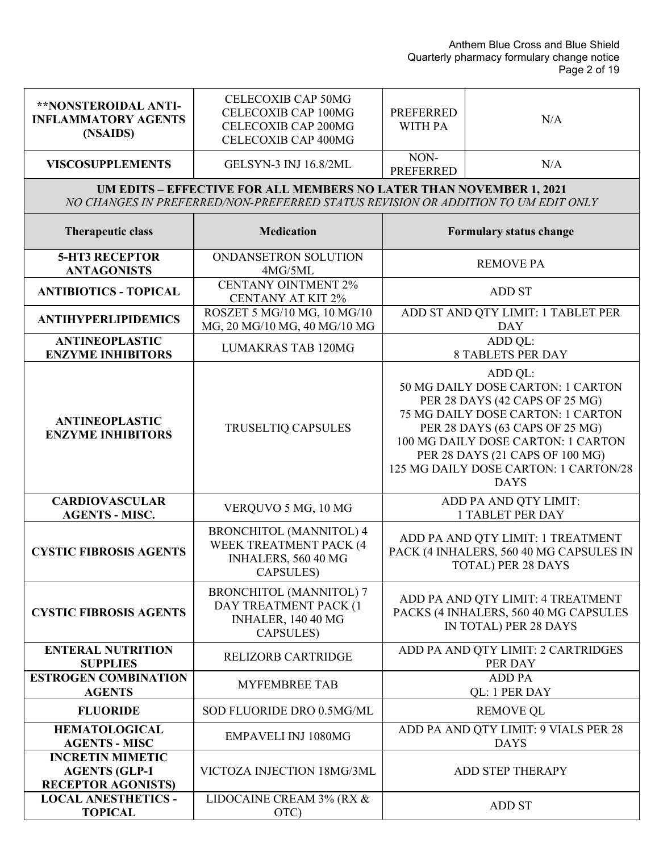| **NONSTEROIDAL ANTI-<br><b>INFLAMMATORY AGENTS</b><br>(NSAIDS)               | <b>CELECOXIB CAP 50MG</b><br>CELECOXIB CAP 100MG<br>CELECOXIB CAP 200MG<br>CELECOXIB CAP 400MG                                                                  | <b>PREFERRED</b><br><b>WITH PA</b> | N/A                                                                                                                                                                                                                                                                                    |
|------------------------------------------------------------------------------|-----------------------------------------------------------------------------------------------------------------------------------------------------------------|------------------------------------|----------------------------------------------------------------------------------------------------------------------------------------------------------------------------------------------------------------------------------------------------------------------------------------|
| <b>VISCOSUPPLEMENTS</b>                                                      | <b>GELSYN-3 INJ 16.8/2ML</b>                                                                                                                                    | NON-<br><b>PREFERRED</b>           | N/A                                                                                                                                                                                                                                                                                    |
|                                                                              | <b>UM EDITS - EFFECTIVE FOR ALL MEMBERS NO LATER THAN NOVEMBER 1, 2021</b><br>NO CHANGES IN PREFERRED/NON-PREFERRED STATUS REVISION OR ADDITION TO UM EDIT ONLY |                                    |                                                                                                                                                                                                                                                                                        |
| <b>Therapeutic class</b>                                                     | <b>Medication</b>                                                                                                                                               |                                    | <b>Formulary status change</b>                                                                                                                                                                                                                                                         |
| <b>5-HT3 RECEPTOR</b><br><b>ANTAGONISTS</b>                                  | ONDANSETRON SOLUTION<br>4MG/5ML                                                                                                                                 |                                    | <b>REMOVE PA</b>                                                                                                                                                                                                                                                                       |
| <b>ANTIBIOTICS - TOPICAL</b>                                                 | <b>CENTANY OINTMENT 2%</b><br><b>CENTANY AT KIT 2%</b>                                                                                                          |                                    | <b>ADD ST</b>                                                                                                                                                                                                                                                                          |
| <b>ANTIHYPERLIPIDEMICS</b>                                                   | ROSZET 5 MG/10 MG, 10 MG/10<br>MG, 20 MG/10 MG, 40 MG/10 MG                                                                                                     |                                    | ADD ST AND QTY LIMIT: 1 TABLET PER<br><b>DAY</b>                                                                                                                                                                                                                                       |
| <b>ANTINEOPLASTIC</b><br><b>ENZYME INHIBITORS</b>                            | <b>LUMAKRAS TAB 120MG</b>                                                                                                                                       |                                    | ADD QL:<br><b>8 TABLETS PER DAY</b>                                                                                                                                                                                                                                                    |
| <b>ANTINEOPLASTIC</b><br><b>ENZYME INHIBITORS</b>                            | <b>TRUSELTIQ CAPSULES</b>                                                                                                                                       |                                    | ADD QL:<br>50 MG DAILY DOSE CARTON: 1 CARTON<br>PER 28 DAYS (42 CAPS OF 25 MG)<br>75 MG DAILY DOSE CARTON: 1 CARTON<br>PER 28 DAYS (63 CAPS OF 25 MG)<br>100 MG DAILY DOSE CARTON: 1 CARTON<br>PER 28 DAYS (21 CAPS OF 100 MG)<br>125 MG DAILY DOSE CARTON: 1 CARTON/28<br><b>DAYS</b> |
| <b>CARDIOVASCULAR</b><br><b>AGENTS - MISC.</b>                               | VERQUVO 5 MG, 10 MG                                                                                                                                             |                                    | ADD PA AND QTY LIMIT:<br><b>1 TABLET PER DAY</b>                                                                                                                                                                                                                                       |
| <b>CYSTIC FIBROSIS AGENTS</b>                                                | <b>BRONCHITOL (MANNITOL) 4</b><br>WEEK TREATMENT PACK (4<br>INHALERS, 560 40 MG<br>CAPSULES)                                                                    |                                    | ADD PA AND QTY LIMIT: 1 TREATMENT<br>PACK (4 INHALERS, 560 40 MG CAPSULES IN<br>TOTAL) PER 28 DAYS                                                                                                                                                                                     |
| <b>CYSTIC FIBROSIS AGENTS</b>                                                | <b>BRONCHITOL (MANNITOL) 7</b><br>DAY TREATMENT PACK (1<br>INHALER, 140 40 MG<br>CAPSULES)                                                                      |                                    | ADD PA AND QTY LIMIT: 4 TREATMENT<br>PACKS (4 INHALERS, 560 40 MG CAPSULES<br>IN TOTAL) PER 28 DAYS                                                                                                                                                                                    |
| <b>ENTERAL NUTRITION</b><br><b>SUPPLIES</b>                                  | <b>RELIZORB CARTRIDGE</b>                                                                                                                                       |                                    | ADD PA AND QTY LIMIT: 2 CARTRIDGES<br>PER DAY                                                                                                                                                                                                                                          |
| <b>ESTROGEN COMBINATION</b><br><b>AGENTS</b>                                 | <b>MYFEMBREE TAB</b>                                                                                                                                            |                                    | <b>ADD PA</b><br>QL: 1 PER DAY                                                                                                                                                                                                                                                         |
| <b>FLUORIDE</b>                                                              | SOD FLUORIDE DRO 0.5MG/ML                                                                                                                                       |                                    | <b>REMOVE QL</b>                                                                                                                                                                                                                                                                       |
| <b>HEMATOLOGICAL</b><br><b>AGENTS - MISC</b>                                 | <b>EMPAVELI INJ 1080MG</b>                                                                                                                                      |                                    | ADD PA AND QTY LIMIT: 9 VIALS PER 28<br><b>DAYS</b>                                                                                                                                                                                                                                    |
| <b>INCRETIN MIMETIC</b><br><b>AGENTS (GLP-1</b><br><b>RECEPTOR AGONISTS)</b> | VICTOZA INJECTION 18MG/3ML                                                                                                                                      |                                    | ADD STEP THERAPY                                                                                                                                                                                                                                                                       |
| <b>LOCAL ANESTHETICS -</b><br><b>TOPICAL</b>                                 | LIDOCAINE CREAM 3% (RX &<br>OTC)                                                                                                                                |                                    | <b>ADD ST</b>                                                                                                                                                                                                                                                                          |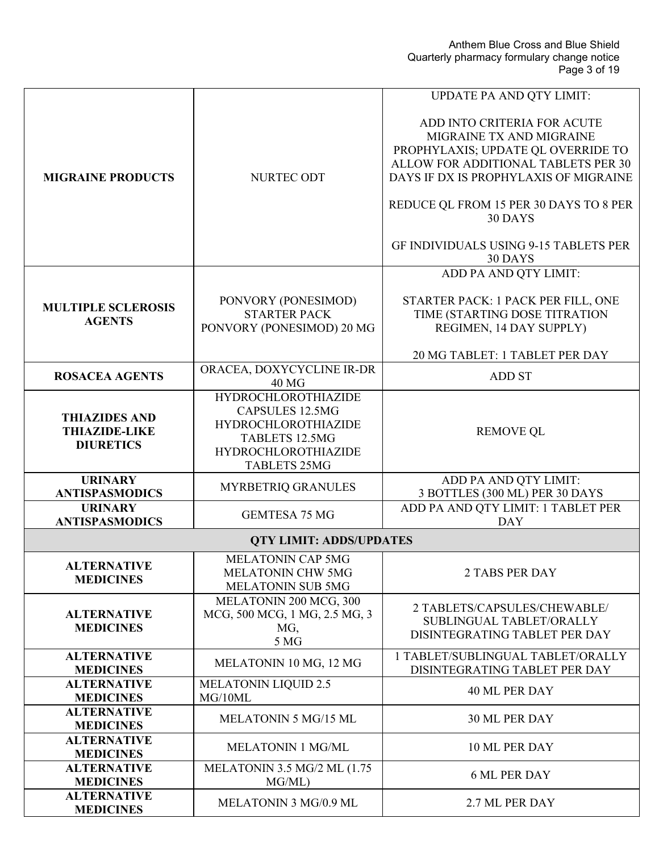Anthem Blue Cross and Blue Shield Quarterly pharmacy formulary change notice Page 3 of 19

|                                                                  |                                                                                                                                                                  | <b>UPDATE PA AND QTY LIMIT:</b>                                                                                                                                                                                                    |
|------------------------------------------------------------------|------------------------------------------------------------------------------------------------------------------------------------------------------------------|------------------------------------------------------------------------------------------------------------------------------------------------------------------------------------------------------------------------------------|
| <b>MIGRAINE PRODUCTS</b>                                         | NURTEC ODT                                                                                                                                                       | ADD INTO CRITERIA FOR ACUTE<br>MIGRAINE TX AND MIGRAINE<br>PROPHYLAXIS; UPDATE QL OVERRIDE TO<br>ALLOW FOR ADDITIONAL TABLETS PER 30<br>DAYS IF DX IS PROPHYLAXIS OF MIGRAINE<br>REDUCE QL FROM 15 PER 30 DAYS TO 8 PER<br>30 DAYS |
|                                                                  |                                                                                                                                                                  | GF INDIVIDUALS USING 9-15 TABLETS PER<br>30 DAYS                                                                                                                                                                                   |
|                                                                  |                                                                                                                                                                  | ADD PA AND QTY LIMIT:                                                                                                                                                                                                              |
| <b>MULTIPLE SCLEROSIS</b><br><b>AGENTS</b>                       | PONVORY (PONESIMOD)<br><b>STARTER PACK</b><br>PONVORY (PONESIMOD) 20 MG                                                                                          | STARTER PACK: 1 PACK PER FILL, ONE<br>TIME (STARTING DOSE TITRATION<br>REGIMEN, 14 DAY SUPPLY)                                                                                                                                     |
|                                                                  |                                                                                                                                                                  | 20 MG TABLET: 1 TABLET PER DAY                                                                                                                                                                                                     |
| <b>ROSACEA AGENTS</b>                                            | ORACEA, DOXYCYCLINE IR-DR<br>40 MG                                                                                                                               | <b>ADD ST</b>                                                                                                                                                                                                                      |
| <b>THIAZIDES AND</b><br><b>THIAZIDE-LIKE</b><br><b>DIURETICS</b> | <b>HYDROCHLOROTHIAZIDE</b><br><b>CAPSULES 12.5MG</b><br><b>HYDROCHLOROTHIAZIDE</b><br><b>TABLETS 12.5MG</b><br><b>HYDROCHLOROTHIAZIDE</b><br><b>TABLETS 25MG</b> | <b>REMOVE QL</b>                                                                                                                                                                                                                   |
| <b>URINARY</b><br><b>ANTISPASMODICS</b>                          | MYRBETRIQ GRANULES                                                                                                                                               | ADD PA AND QTY LIMIT:<br>3 BOTTLES (300 ML) PER 30 DAYS                                                                                                                                                                            |
| <b>URINARY</b><br><b>ANTISPASMODICS</b>                          | <b>GEMTESA 75 MG</b>                                                                                                                                             | ADD PA AND QTY LIMIT: 1 TABLET PER<br><b>DAY</b>                                                                                                                                                                                   |
|                                                                  | <b>QTY LIMIT: ADDS/UPDATES</b>                                                                                                                                   |                                                                                                                                                                                                                                    |
| <b>ALTERNATIVE</b><br><b>MEDICINES</b>                           | <b>MELATONIN CAP 5MG</b><br>MELATONIN CHW 5MG<br>MELATONIN SUB 5MG                                                                                               | 2 TABS PER DAY                                                                                                                                                                                                                     |
| <b>ALTERNATIVE</b><br><b>MEDICINES</b>                           | MELATONIN 200 MCG, 300<br>MCG, 500 MCG, 1 MG, 2.5 MG, 3<br>MG,<br>5 MG                                                                                           | 2 TABLETS/CAPSULES/CHEWABLE/<br>SUBLINGUAL TABLET/ORALLY<br>DISINTEGRATING TABLET PER DAY                                                                                                                                          |
| <b>ALTERNATIVE</b><br><b>MEDICINES</b>                           | MELATONIN 10 MG, 12 MG                                                                                                                                           | 1 TABLET/SUBLINGUAL TABLET/ORALLY<br>DISINTEGRATING TABLET PER DAY                                                                                                                                                                 |
| <b>ALTERNATIVE</b><br><b>MEDICINES</b>                           | <b>MELATONIN LIQUID 2.5</b><br>MG/10ML                                                                                                                           | 40 ML PER DAY                                                                                                                                                                                                                      |
| <b>ALTERNATIVE</b><br><b>MEDICINES</b>                           | <b>MELATONIN 5 MG/15 ML</b>                                                                                                                                      | 30 ML PER DAY                                                                                                                                                                                                                      |
| <b>ALTERNATIVE</b><br><b>MEDICINES</b>                           | <b>MELATONIN 1 MG/ML</b>                                                                                                                                         | 10 ML PER DAY                                                                                                                                                                                                                      |
| <b>ALTERNATIVE</b><br><b>MEDICINES</b>                           | MELATONIN 3.5 MG/2 ML (1.75<br>MG/ML)                                                                                                                            | <b>6 ML PER DAY</b>                                                                                                                                                                                                                |
| <b>ALTERNATIVE</b><br><b>MEDICINES</b>                           | MELATONIN 3 MG/0.9 ML                                                                                                                                            | 2.7 ML PER DAY                                                                                                                                                                                                                     |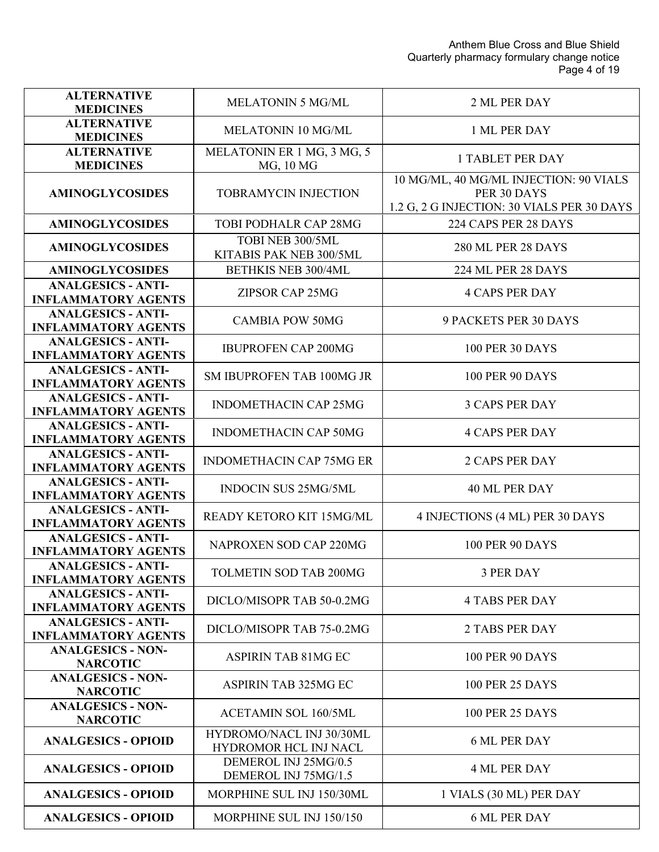| <b>ALTERNATIVE</b><br><b>MEDICINES</b>                  | <b>MELATONIN 5 MG/ML</b>                          | 2 ML PER DAY                                                                                        |
|---------------------------------------------------------|---------------------------------------------------|-----------------------------------------------------------------------------------------------------|
| <b>ALTERNATIVE</b><br><b>MEDICINES</b>                  | <b>MELATONIN 10 MG/ML</b>                         | 1 ML PER DAY                                                                                        |
| <b>ALTERNATIVE</b><br><b>MEDICINES</b>                  | MELATONIN ER 1 MG, 3 MG, 5<br>MG, 10 MG           | <b>1 TABLET PER DAY</b>                                                                             |
| <b>AMINOGLYCOSIDES</b>                                  | <b>TOBRAMYCIN INJECTION</b>                       | 10 MG/ML, 40 MG/ML INJECTION: 90 VIALS<br>PER 30 DAYS<br>1.2 G, 2 G INJECTION: 30 VIALS PER 30 DAYS |
| <b>AMINOGLYCOSIDES</b>                                  | TOBI PODHALR CAP 28MG                             | 224 CAPS PER 28 DAYS                                                                                |
| <b>AMINOGLYCOSIDES</b>                                  | TOBI NEB 300/5ML<br>KITABIS PAK NEB 300/5ML       | <b>280 ML PER 28 DAYS</b>                                                                           |
| <b>AMINOGLYCOSIDES</b>                                  | BETHKIS NEB 300/4ML                               | 224 ML PER 28 DAYS                                                                                  |
| <b>ANALGESICS - ANTI-</b><br><b>INFLAMMATORY AGENTS</b> | ZIPSOR CAP 25MG                                   | <b>4 CAPS PER DAY</b>                                                                               |
| <b>ANALGESICS - ANTI-</b><br><b>INFLAMMATORY AGENTS</b> | <b>CAMBIA POW 50MG</b>                            | <b>9 PACKETS PER 30 DAYS</b>                                                                        |
| <b>ANALGESICS - ANTI-</b><br><b>INFLAMMATORY AGENTS</b> | <b>IBUPROFEN CAP 200MG</b>                        | <b>100 PER 30 DAYS</b>                                                                              |
| <b>ANALGESICS - ANTI-</b><br><b>INFLAMMATORY AGENTS</b> | SM IBUPROFEN TAB 100MG JR                         | <b>100 PER 90 DAYS</b>                                                                              |
| <b>ANALGESICS - ANTI-</b><br><b>INFLAMMATORY AGENTS</b> | <b>INDOMETHACIN CAP 25MG</b>                      | <b>3 CAPS PER DAY</b>                                                                               |
| <b>ANALGESICS - ANTI-</b><br><b>INFLAMMATORY AGENTS</b> | <b>INDOMETHACIN CAP 50MG</b>                      | <b>4 CAPS PER DAY</b>                                                                               |
| <b>ANALGESICS - ANTI-</b><br><b>INFLAMMATORY AGENTS</b> | <b>INDOMETHACIN CAP 75MG ER</b>                   | <b>2 CAPS PER DAY</b>                                                                               |
| <b>ANALGESICS - ANTI-</b><br><b>INFLAMMATORY AGENTS</b> | <b>INDOCIN SUS 25MG/5ML</b>                       | 40 ML PER DAY                                                                                       |
| <b>ANALGESICS - ANTI-</b><br><b>INFLAMMATORY AGENTS</b> | READY KETORO KIT 15MG/ML                          | 4 INJECTIONS (4 ML) PER 30 DAYS                                                                     |
| <b>ANALGESICS - ANTI-</b><br><b>INFLAMMATORY AGENTS</b> | NAPROXEN SOD CAP 220MG                            | <b>100 PER 90 DAYS</b>                                                                              |
| <b>ANALGESICS - ANTI-</b><br><b>INFLAMMATORY AGENTS</b> | TOLMETIN SOD TAB 200MG                            | 3 PER DAY                                                                                           |
| <b>ANALGESICS - ANTI-</b><br><b>INFLAMMATORY AGENTS</b> | DICLO/MISOPR TAB 50-0.2MG                         | <b>4 TABS PER DAY</b>                                                                               |
| <b>ANALGESICS - ANTI-</b><br><b>INFLAMMATORY AGENTS</b> | DICLO/MISOPR TAB 75-0.2MG                         | <b>2 TABS PER DAY</b>                                                                               |
| <b>ANALGESICS - NON-</b><br><b>NARCOTIC</b>             | <b>ASPIRIN TAB 81MG EC</b>                        | <b>100 PER 90 DAYS</b>                                                                              |
| <b>ANALGESICS - NON-</b><br><b>NARCOTIC</b>             | ASPIRIN TAB 325MG EC                              | <b>100 PER 25 DAYS</b>                                                                              |
| <b>ANALGESICS - NON-</b><br><b>NARCOTIC</b>             | <b>ACETAMIN SOL 160/5ML</b>                       | <b>100 PER 25 DAYS</b>                                                                              |
| <b>ANALGESICS - OPIOID</b>                              | HYDROMO/NACL INJ 30/30ML<br>HYDROMOR HCL INJ NACL | <b>6 ML PER DAY</b>                                                                                 |
| <b>ANALGESICS - OPIOID</b>                              | DEMEROL INJ 25MG/0.5<br>DEMEROL INJ 75MG/1.5      | <b>4 ML PER DAY</b>                                                                                 |
| <b>ANALGESICS - OPIOID</b>                              | MORPHINE SUL INJ 150/30ML                         | 1 VIALS (30 ML) PER DAY                                                                             |
| <b>ANALGESICS - OPIOID</b>                              | MORPHINE SUL INJ 150/150                          | <b>6 ML PER DAY</b>                                                                                 |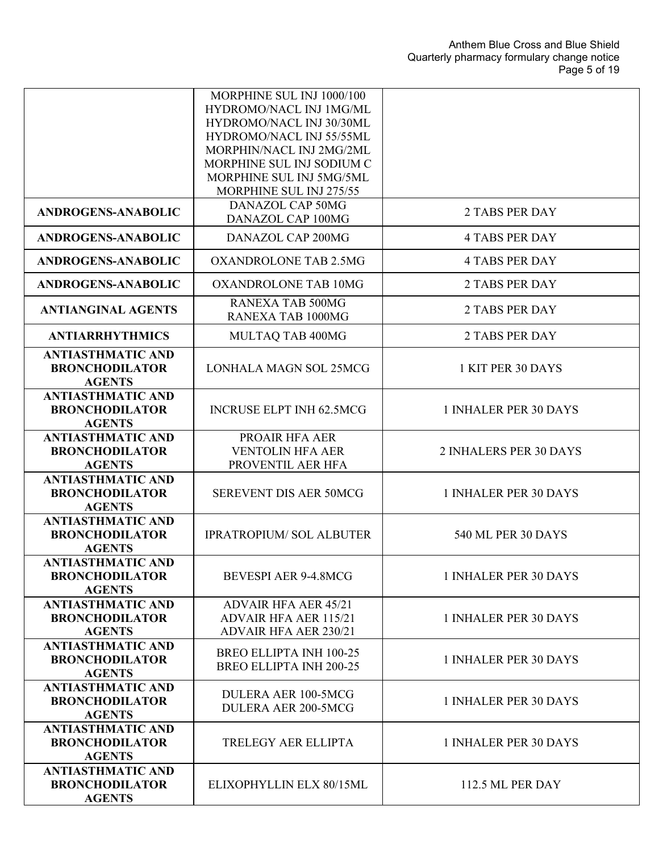|                                                                    | MORPHINE SUL INJ 1000/100<br>HYDROMO/NACL INJ 1MG/ML<br>HYDROMO/NACL INJ 30/30ML<br>HYDROMO/NACL INJ 55/55ML<br>MORPHIN/NACL INJ 2MG/2ML<br>MORPHINE SUL INJ SODIUM C<br>MORPHINE SUL INJ 5MG/5ML |                        |
|--------------------------------------------------------------------|---------------------------------------------------------------------------------------------------------------------------------------------------------------------------------------------------|------------------------|
|                                                                    | MORPHINE SUL INJ 275/55<br><b>DANAZOL CAP 50MG</b>                                                                                                                                                |                        |
| <b>ANDROGENS-ANABOLIC</b>                                          | DANAZOL CAP 100MG                                                                                                                                                                                 | 2 TABS PER DAY         |
| <b>ANDROGENS-ANABOLIC</b>                                          | DANAZOL CAP 200MG                                                                                                                                                                                 | <b>4 TABS PER DAY</b>  |
| <b>ANDROGENS-ANABOLIC</b>                                          | <b>OXANDROLONE TAB 2.5MG</b>                                                                                                                                                                      | <b>4 TABS PER DAY</b>  |
| <b>ANDROGENS-ANABOLIC</b>                                          | <b>OXANDROLONE TAB 10MG</b>                                                                                                                                                                       | 2 TABS PER DAY         |
| <b>ANTIANGINAL AGENTS</b>                                          | <b>RANEXA TAB 500MG</b><br><b>RANEXA TAB 1000MG</b>                                                                                                                                               | 2 TABS PER DAY         |
| <b>ANTIARRHYTHMICS</b>                                             | MULTAQ TAB 400MG                                                                                                                                                                                  | <b>2 TABS PER DAY</b>  |
| <b>ANTIASTHMATIC AND</b><br><b>BRONCHODILATOR</b><br><b>AGENTS</b> | LONHALA MAGN SOL 25MCG                                                                                                                                                                            | 1 KIT PER 30 DAYS      |
| <b>ANTIASTHMATIC AND</b><br><b>BRONCHODILATOR</b><br><b>AGENTS</b> | <b>INCRUSE ELPT INH 62.5MCG</b>                                                                                                                                                                   | 1 INHALER PER 30 DAYS  |
| <b>ANTIASTHMATIC AND</b><br><b>BRONCHODILATOR</b><br><b>AGENTS</b> | PROAIR HFA AER<br><b>VENTOLIN HFA AER</b><br>PROVENTIL AER HFA                                                                                                                                    | 2 INHALERS PER 30 DAYS |
| <b>ANTIASTHMATIC AND</b><br><b>BRONCHODILATOR</b><br><b>AGENTS</b> | <b>SEREVENT DIS AER 50MCG</b>                                                                                                                                                                     | 1 INHALER PER 30 DAYS  |
| <b>ANTIASTHMATIC AND</b><br><b>BRONCHODILATOR</b><br><b>AGENTS</b> | <b>IPRATROPIUM/ SOL ALBUTER</b>                                                                                                                                                                   | 540 ML PER 30 DAYS     |
| <b>ANTIASTHMATIC AND</b><br><b>BRONCHODILATOR</b><br><b>AGENTS</b> | <b>BEVESPI AER 9-4.8MCG</b>                                                                                                                                                                       | 1 INHALER PER 30 DAYS  |
| <b>ANTIASTHMATIC AND</b><br><b>BRONCHODILATOR</b><br><b>AGENTS</b> | <b>ADVAIR HFA AER 45/21</b><br><b>ADVAIR HFA AER 115/21</b><br><b>ADVAIR HFA AER 230/21</b>                                                                                                       | 1 INHALER PER 30 DAYS  |
| <b>ANTIASTHMATIC AND</b><br><b>BRONCHODILATOR</b><br><b>AGENTS</b> | <b>BREO ELLIPTA INH 100-25</b><br><b>BREO ELLIPTA INH 200-25</b>                                                                                                                                  | 1 INHALER PER 30 DAYS  |
| <b>ANTIASTHMATIC AND</b><br><b>BRONCHODILATOR</b><br><b>AGENTS</b> | <b>DULERA AER 100-5MCG</b><br><b>DULERA AER 200-5MCG</b>                                                                                                                                          | 1 INHALER PER 30 DAYS  |
| <b>ANTIASTHMATIC AND</b><br><b>BRONCHODILATOR</b><br><b>AGENTS</b> | TRELEGY AER ELLIPTA                                                                                                                                                                               | 1 INHALER PER 30 DAYS  |
| <b>ANTIASTHMATIC AND</b><br><b>BRONCHODILATOR</b><br><b>AGENTS</b> | ELIXOPHYLLIN ELX 80/15ML                                                                                                                                                                          | 112.5 ML PER DAY       |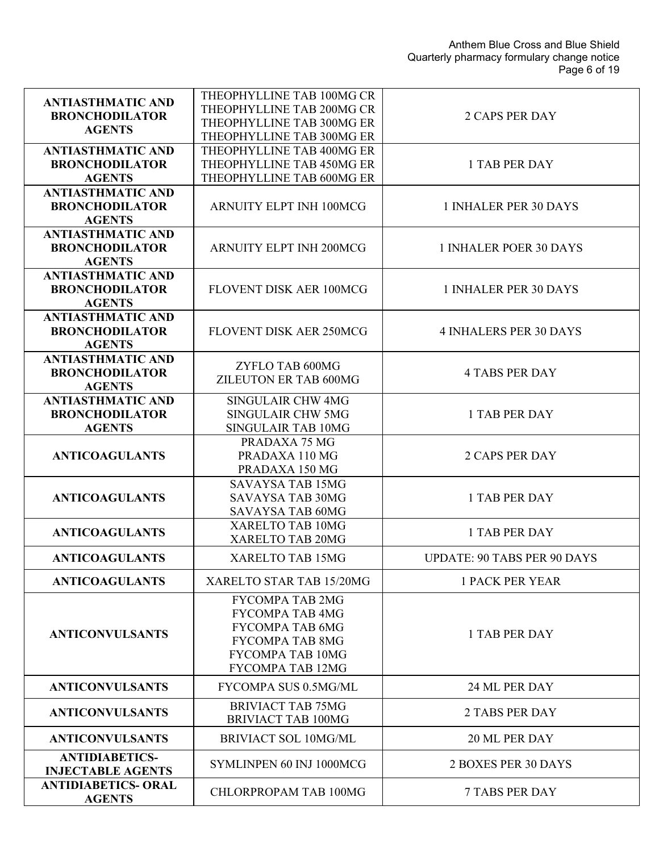| <b>ANTIASTHMATIC AND</b><br><b>BRONCHODILATOR</b><br><b>AGENTS</b> | THEOPHYLLINE TAB 100MG CR<br>THEOPHYLLINE TAB 200MG CR<br>THEOPHYLLINE TAB 300MG ER<br>THEOPHYLLINE TAB 300MG ER                                           | <b>2 CAPS PER DAY</b>              |
|--------------------------------------------------------------------|------------------------------------------------------------------------------------------------------------------------------------------------------------|------------------------------------|
| <b>ANTIASTHMATIC AND</b><br><b>BRONCHODILATOR</b><br><b>AGENTS</b> | THEOPHYLLINE TAB 400MG ER<br>THEOPHYLLINE TAB 450MG ER<br>THEOPHYLLINE TAB 600MG ER                                                                        | <b>1 TAB PER DAY</b>               |
| <b>ANTIASTHMATIC AND</b><br><b>BRONCHODILATOR</b><br><b>AGENTS</b> | ARNUITY ELPT INH 100MCG                                                                                                                                    | 1 INHALER PER 30 DAYS              |
| <b>ANTIASTHMATIC AND</b><br><b>BRONCHODILATOR</b><br><b>AGENTS</b> | <b>ARNUITY ELPT INH 200MCG</b>                                                                                                                             | 1 INHALER POER 30 DAYS             |
| <b>ANTIASTHMATIC AND</b><br><b>BRONCHODILATOR</b><br><b>AGENTS</b> | FLOVENT DISK AER 100MCG                                                                                                                                    | 1 INHALER PER 30 DAYS              |
| <b>ANTIASTHMATIC AND</b><br><b>BRONCHODILATOR</b><br><b>AGENTS</b> | <b>FLOVENT DISK AER 250MCG</b>                                                                                                                             | <b>4 INHALERS PER 30 DAYS</b>      |
| <b>ANTIASTHMATIC AND</b><br><b>BRONCHODILATOR</b><br><b>AGENTS</b> | ZYFLO TAB 600MG<br>ZILEUTON ER TAB 600MG                                                                                                                   | <b>4 TABS PER DAY</b>              |
| <b>ANTIASTHMATIC AND</b><br><b>BRONCHODILATOR</b><br><b>AGENTS</b> | <b>SINGULAIR CHW 4MG</b><br><b>SINGULAIR CHW 5MG</b><br>SINGULAIR TAB 10MG                                                                                 | <b>1 TAB PER DAY</b>               |
| <b>ANTICOAGULANTS</b>                                              | PRADAXA 75 MG<br>PRADAXA 110 MG<br>PRADAXA 150 MG                                                                                                          | <b>2 CAPS PER DAY</b>              |
| <b>ANTICOAGULANTS</b>                                              | <b>SAVAYSA TAB 15MG</b><br><b>SAVAYSA TAB 30MG</b><br>SAVAYSA TAB 60MG                                                                                     | <b>1 TAB PER DAY</b>               |
| <b>ANTICOAGULANTS</b>                                              | XARELTO TAB 10MG<br>XARELTO TAB 20MG                                                                                                                       | 1 TAB PER DAY                      |
| <b>ANTICOAGULANTS</b>                                              | XARELTO TAB 15MG                                                                                                                                           | <b>UPDATE: 90 TABS PER 90 DAYS</b> |
| <b>ANTICOAGULANTS</b>                                              | XARELTO STAR TAB 15/20MG                                                                                                                                   | <b>1 PACK PER YEAR</b>             |
| <b>ANTICONVULSANTS</b>                                             | <b>FYCOMPA TAB 2MG</b><br><b>FYCOMPA TAB 4MG</b><br><b>FYCOMPA TAB 6MG</b><br><b>FYCOMPA TAB 8MG</b><br><b>FYCOMPA TAB 10MG</b><br><b>FYCOMPA TAB 12MG</b> | 1 TAB PER DAY                      |
| <b>ANTICONVULSANTS</b>                                             | FYCOMPA SUS 0.5MG/ML                                                                                                                                       | 24 ML PER DAY                      |
| <b>ANTICONVULSANTS</b>                                             | <b>BRIVIACT TAB 75MG</b><br><b>BRIVIACT TAB 100MG</b>                                                                                                      | <b>2 TABS PER DAY</b>              |
| <b>ANTICONVULSANTS</b>                                             | <b>BRIVIACT SOL 10MG/ML</b>                                                                                                                                | 20 ML PER DAY                      |
| <b>ANTIDIABETICS-</b><br><b>INJECTABLE AGENTS</b>                  | SYMLINPEN 60 INJ 1000MCG                                                                                                                                   | 2 BOXES PER 30 DAYS                |
| <b>ANTIDIABETICS- ORAL</b><br><b>AGENTS</b>                        | CHLORPROPAM TAB 100MG                                                                                                                                      | <b>7 TABS PER DAY</b>              |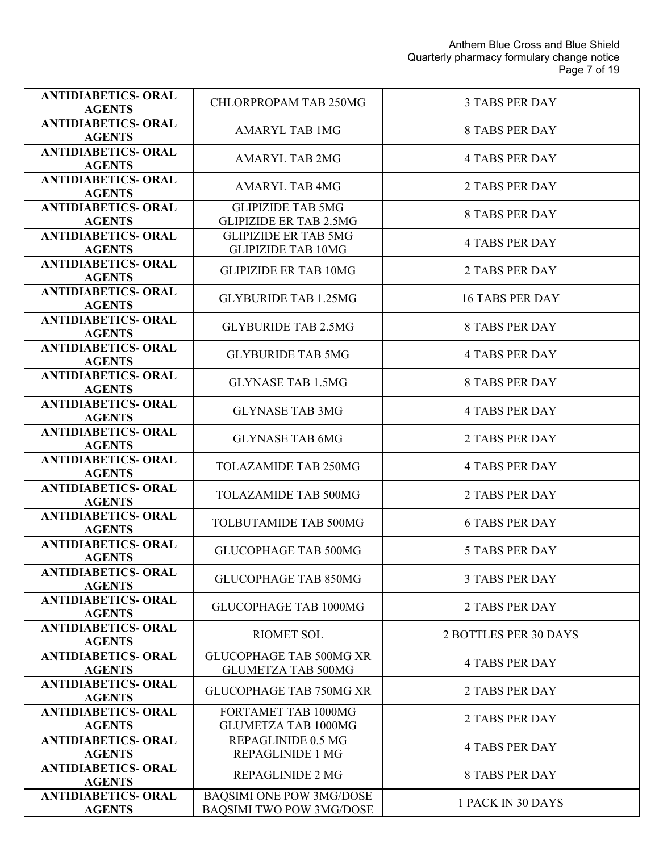| <b>ANTIDIABETICS- ORAL</b><br><b>AGENTS</b> | <b>CHLORPROPAM TAB 250MG</b>                                       | <b>3 TABS PER DAY</b>  |
|---------------------------------------------|--------------------------------------------------------------------|------------------------|
| <b>ANTIDIABETICS- ORAL</b><br><b>AGENTS</b> | <b>AMARYL TAB 1MG</b>                                              | <b>8 TABS PER DAY</b>  |
| <b>ANTIDIABETICS- ORAL</b><br><b>AGENTS</b> | <b>AMARYL TAB 2MG</b>                                              | <b>4 TABS PER DAY</b>  |
| <b>ANTIDIABETICS- ORAL</b><br><b>AGENTS</b> | <b>AMARYL TAB 4MG</b>                                              | <b>2 TABS PER DAY</b>  |
| <b>ANTIDIABETICS- ORAL</b><br><b>AGENTS</b> | <b>GLIPIZIDE TAB 5MG</b><br><b>GLIPIZIDE ER TAB 2.5MG</b>          | <b>8 TABS PER DAY</b>  |
| <b>ANTIDIABETICS- ORAL</b><br><b>AGENTS</b> | <b>GLIPIZIDE ER TAB 5MG</b><br><b>GLIPIZIDE TAB 10MG</b>           | <b>4 TABS PER DAY</b>  |
| <b>ANTIDIABETICS- ORAL</b><br><b>AGENTS</b> | <b>GLIPIZIDE ER TAB 10MG</b>                                       | <b>2 TABS PER DAY</b>  |
| <b>ANTIDIABETICS- ORAL</b><br><b>AGENTS</b> | <b>GLYBURIDE TAB 1.25MG</b>                                        | <b>16 TABS PER DAY</b> |
| <b>ANTIDIABETICS- ORAL</b><br><b>AGENTS</b> | <b>GLYBURIDE TAB 2.5MG</b>                                         | <b>8 TABS PER DAY</b>  |
| <b>ANTIDIABETICS- ORAL</b><br><b>AGENTS</b> | <b>GLYBURIDE TAB 5MG</b>                                           | <b>4 TABS PER DAY</b>  |
| <b>ANTIDIABETICS- ORAL</b><br><b>AGENTS</b> | <b>GLYNASE TAB 1.5MG</b>                                           | <b>8 TABS PER DAY</b>  |
| <b>ANTIDIABETICS- ORAL</b><br><b>AGENTS</b> | <b>GLYNASE TAB 3MG</b>                                             | <b>4 TABS PER DAY</b>  |
| <b>ANTIDIABETICS- ORAL</b><br><b>AGENTS</b> | <b>GLYNASE TAB 6MG</b>                                             | <b>2 TABS PER DAY</b>  |
| <b>ANTIDIABETICS- ORAL</b><br><b>AGENTS</b> | <b>TOLAZAMIDE TAB 250MG</b>                                        | <b>4 TABS PER DAY</b>  |
| <b>ANTIDIABETICS- ORAL</b><br><b>AGENTS</b> | <b>TOLAZAMIDE TAB 500MG</b>                                        | <b>2 TABS PER DAY</b>  |
| <b>ANTIDIABETICS- ORAL</b><br><b>AGENTS</b> | TOLBUTAMIDE TAB 500MG                                              | <b>6 TABS PER DAY</b>  |
| <b>ANTIDIABETICS- ORAL</b><br><b>AGENTS</b> | <b>GLUCOPHAGE TAB 500MG</b>                                        | <b>5 TABS PER DAY</b>  |
| <b>ANTIDIABETICS- ORAL</b><br><b>AGENTS</b> | <b>GLUCOPHAGE TAB 850MG</b>                                        | <b>3 TABS PER DAY</b>  |
| <b>ANTIDIABETICS- ORAL</b><br><b>AGENTS</b> | GLUCOPHAGE TAB 1000MG                                              | <b>2 TABS PER DAY</b>  |
| <b>ANTIDIABETICS- ORAL</b><br><b>AGENTS</b> | <b>RIOMET SOL</b>                                                  | 2 BOTTLES PER 30 DAYS  |
| <b>ANTIDIABETICS- ORAL</b><br><b>AGENTS</b> | <b>GLUCOPHAGE TAB 500MG XR</b><br><b>GLUMETZA TAB 500MG</b>        | <b>4 TABS PER DAY</b>  |
| <b>ANTIDIABETICS- ORAL</b><br><b>AGENTS</b> | <b>GLUCOPHAGE TAB 750MG XR</b>                                     | <b>2 TABS PER DAY</b>  |
| <b>ANTIDIABETICS- ORAL</b><br><b>AGENTS</b> | FORTAMET TAB 1000MG<br><b>GLUMETZA TAB 1000MG</b>                  | <b>2 TABS PER DAY</b>  |
| <b>ANTIDIABETICS- ORAL</b><br><b>AGENTS</b> | REPAGLINIDE 0.5 MG<br><b>REPAGLINIDE 1 MG</b>                      | <b>4 TABS PER DAY</b>  |
| <b>ANTIDIABETICS- ORAL</b><br><b>AGENTS</b> | <b>REPAGLINIDE 2 MG</b>                                            | <b>8 TABS PER DAY</b>  |
| <b>ANTIDIABETICS- ORAL</b><br><b>AGENTS</b> | <b>BAQSIMI ONE POW 3MG/DOSE</b><br><b>BAQSIMI TWO POW 3MG/DOSE</b> | 1 PACK IN 30 DAYS      |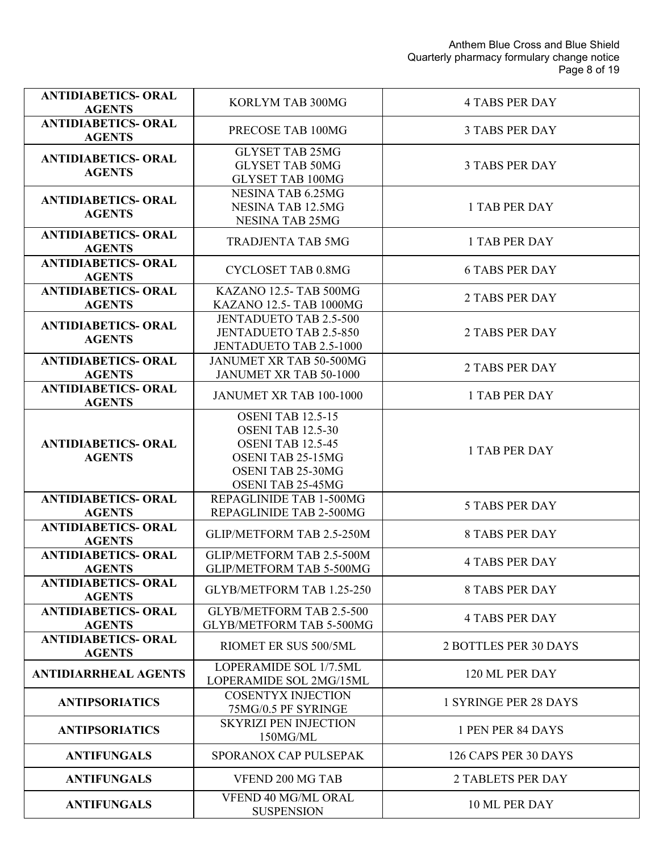| <b>ANTIDIABETICS- ORAL</b><br><b>AGENTS</b> | KORLYM TAB 300MG                                                                                                                                       | <b>4 TABS PER DAY</b>        |
|---------------------------------------------|--------------------------------------------------------------------------------------------------------------------------------------------------------|------------------------------|
| <b>ANTIDIABETICS- ORAL</b><br><b>AGENTS</b> | PRECOSE TAB 100MG                                                                                                                                      | <b>3 TABS PER DAY</b>        |
| <b>ANTIDIABETICS- ORAL</b><br><b>AGENTS</b> | <b>GLYSET TAB 25MG</b><br><b>GLYSET TAB 50MG</b><br><b>GLYSET TAB 100MG</b>                                                                            | <b>3 TABS PER DAY</b>        |
| <b>ANTIDIABETICS- ORAL</b><br><b>AGENTS</b> | NESINA TAB 6.25MG<br>NESINA TAB 12.5MG<br><b>NESINA TAB 25MG</b>                                                                                       | 1 TAB PER DAY                |
| <b>ANTIDIABETICS- ORAL</b><br><b>AGENTS</b> | <b>TRADJENTA TAB 5MG</b>                                                                                                                               | 1 TAB PER DAY                |
| <b>ANTIDIABETICS- ORAL</b><br><b>AGENTS</b> | <b>CYCLOSET TAB 0.8MG</b>                                                                                                                              | <b>6 TABS PER DAY</b>        |
| <b>ANTIDIABETICS- ORAL</b><br><b>AGENTS</b> | KAZANO 12.5- TAB 500MG<br>KAZANO 12.5- TAB 1000MG                                                                                                      | <b>2 TABS PER DAY</b>        |
| <b>ANTIDIABETICS- ORAL</b><br><b>AGENTS</b> | <b>JENTADUETO TAB 2.5-500</b><br><b>JENTADUETO TAB 2.5-850</b><br><b>JENTADUETO TAB 2.5-1000</b>                                                       | <b>2 TABS PER DAY</b>        |
| <b>ANTIDIABETICS- ORAL</b><br><b>AGENTS</b> | JANUMET XR TAB 50-500MG<br>JANUMET XR TAB 50-1000                                                                                                      | 2 TABS PER DAY               |
| <b>ANTIDIABETICS- ORAL</b><br><b>AGENTS</b> | JANUMET XR TAB 100-1000                                                                                                                                | <b>1 TAB PER DAY</b>         |
| <b>ANTIDIABETICS- ORAL</b><br><b>AGENTS</b> | <b>OSENI TAB 12.5-15</b><br><b>OSENI TAB 12.5-30</b><br><b>OSENI TAB 12.5-45</b><br>OSENI TAB 25-15MG<br>OSENI TAB 25-30MG<br><b>OSENI TAB 25-45MG</b> | 1 TAB PER DAY                |
| <b>ANTIDIABETICS- ORAL</b><br><b>AGENTS</b> | REPAGLINIDE TAB 1-500MG<br>REPAGLINIDE TAB 2-500MG                                                                                                     | <b>5 TABS PER DAY</b>        |
| <b>ANTIDIABETICS- ORAL</b><br><b>AGENTS</b> | GLIP/METFORM TAB 2.5-250M                                                                                                                              | <b>8 TABS PER DAY</b>        |
| <b>ANTIDIABETICS- ORAL</b><br><b>AGENTS</b> | GLIP/METFORM TAB 2.5-500M<br>GLIP/METFORM TAB 5-500MG                                                                                                  | <b>4 TABS PER DAY</b>        |
| <b>ANTIDIABETICS- ORAL</b><br><b>AGENTS</b> | GLYB/METFORM TAB 1.25-250                                                                                                                              | <b>8 TABS PER DAY</b>        |
| <b>ANTIDIABETICS- ORAL</b><br><b>AGENTS</b> | <b>GLYB/METFORM TAB 2.5-500</b><br><b>GLYB/METFORM TAB 5-500MG</b>                                                                                     | <b>4 TABS PER DAY</b>        |
| <b>ANTIDIABETICS- ORAL</b><br><b>AGENTS</b> | RIOMET ER SUS 500/5ML                                                                                                                                  | 2 BOTTLES PER 30 DAYS        |
| <b>ANTIDIARRHEAL AGENTS</b>                 | LOPERAMIDE SOL 1/7.5ML<br>LOPERAMIDE SOL 2MG/15ML                                                                                                      | 120 ML PER DAY               |
| <b>ANTIPSORIATICS</b>                       | <b>COSENTYX INJECTION</b><br>75MG/0.5 PF SYRINGE                                                                                                       | <b>1 SYRINGE PER 28 DAYS</b> |
| <b>ANTIPSORIATICS</b>                       | <b>SKYRIZI PEN INJECTION</b><br>150MG/ML                                                                                                               | 1 PEN PER 84 DAYS            |
| <b>ANTIFUNGALS</b>                          | <b>SPORANOX CAP PULSEPAK</b>                                                                                                                           | 126 CAPS PER 30 DAYS         |
| <b>ANTIFUNGALS</b>                          | VFEND 200 MG TAB                                                                                                                                       | <b>2 TABLETS PER DAY</b>     |
| <b>ANTIFUNGALS</b>                          | VFEND 40 MG/ML ORAL<br><b>SUSPENSION</b>                                                                                                               | 10 ML PER DAY                |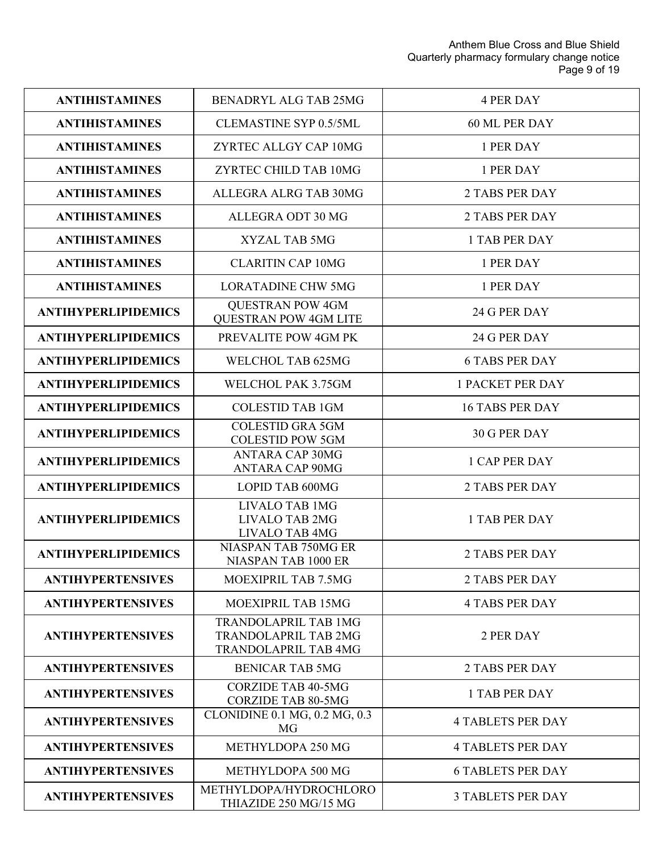| <b>ANTIHISTAMINES</b>      | BENADRYL ALG TAB 25MG                                                                     | <b>4 PER DAY</b>         |
|----------------------------|-------------------------------------------------------------------------------------------|--------------------------|
| <b>ANTIHISTAMINES</b>      | <b>CLEMASTINE SYP 0.5/5ML</b>                                                             | 60 ML PER DAY            |
| <b>ANTIHISTAMINES</b>      | ZYRTEC ALLGY CAP 10MG                                                                     | 1 PER DAY                |
| <b>ANTIHISTAMINES</b>      | ZYRTEC CHILD TAB 10MG                                                                     | 1 PER DAY                |
| <b>ANTIHISTAMINES</b>      | ALLEGRA ALRG TAB 30MG                                                                     | <b>2 TABS PER DAY</b>    |
| <b>ANTIHISTAMINES</b>      | ALLEGRA ODT 30 MG                                                                         | <b>2 TABS PER DAY</b>    |
| <b>ANTIHISTAMINES</b>      | <b>XYZAL TAB 5MG</b>                                                                      | 1 TAB PER DAY            |
| <b>ANTIHISTAMINES</b>      | <b>CLARITIN CAP 10MG</b>                                                                  | 1 PER DAY                |
| <b>ANTIHISTAMINES</b>      | <b>LORATADINE CHW 5MG</b>                                                                 | 1 PER DAY                |
| <b>ANTIHYPERLIPIDEMICS</b> | <b>OUESTRAN POW 4GM</b><br><b>QUESTRAN POW 4GM LITE</b>                                   | 24 G PER DAY             |
| <b>ANTIHYPERLIPIDEMICS</b> | PREVALITE POW 4GM PK                                                                      | 24 G PER DAY             |
| <b>ANTIHYPERLIPIDEMICS</b> | WELCHOL TAB 625MG                                                                         | <b>6 TABS PER DAY</b>    |
| <b>ANTIHYPERLIPIDEMICS</b> | WELCHOL PAK 3.75GM                                                                        | <b>1 PACKET PER DAY</b>  |
| <b>ANTIHYPERLIPIDEMICS</b> | <b>COLESTID TAB 1GM</b>                                                                   | <b>16 TABS PER DAY</b>   |
| <b>ANTIHYPERLIPIDEMICS</b> | <b>COLESTID GRA 5GM</b><br><b>COLESTID POW 5GM</b>                                        | 30 G PER DAY             |
| <b>ANTIHYPERLIPIDEMICS</b> | <b>ANTARA CAP 30MG</b><br><b>ANTARA CAP 90MG</b>                                          | <b>1 CAP PER DAY</b>     |
| <b>ANTIHYPERLIPIDEMICS</b> | LOPID TAB 600MG                                                                           | <b>2 TABS PER DAY</b>    |
| <b>ANTIHYPERLIPIDEMICS</b> | <b>LIVALO TAB 1MG</b><br><b>LIVALO TAB 2MG</b><br>LIVALO TAB 4MG                          | <b>1 TAB PER DAY</b>     |
| <b>ANTIHYPERLIPIDEMICS</b> | NIASPAN TAB 750MG ER<br>NIASPAN TAB 1000 ER                                               | <b>2 TABS PER DAY</b>    |
| <b>ANTIHYPERTENSIVES</b>   | MOEXIPRIL TAB 7.5MG                                                                       | <b>2 TABS PER DAY</b>    |
| <b>ANTIHYPERTENSIVES</b>   | <b>MOEXIPRIL TAB 15MG</b>                                                                 | <b>4 TABS PER DAY</b>    |
| <b>ANTIHYPERTENSIVES</b>   | <b>TRANDOLAPRIL TAB 1MG</b><br><b>TRANDOLAPRIL TAB 2MG</b><br><b>TRANDOLAPRIL TAB 4MG</b> | 2 PER DAY                |
| <b>ANTIHYPERTENSIVES</b>   | <b>BENICAR TAB 5MG</b>                                                                    | <b>2 TABS PER DAY</b>    |
| <b>ANTIHYPERTENSIVES</b>   | <b>CORZIDE TAB 40-5MG</b><br><b>CORZIDE TAB 80-5MG</b>                                    | <b>1 TAB PER DAY</b>     |
| <b>ANTIHYPERTENSIVES</b>   | CLONIDINE 0.1 MG, 0.2 MG, 0.3<br>MG                                                       | <b>4 TABLETS PER DAY</b> |
| <b>ANTIHYPERTENSIVES</b>   | METHYLDOPA 250 MG                                                                         | <b>4 TABLETS PER DAY</b> |
| <b>ANTIHYPERTENSIVES</b>   | METHYLDOPA 500 MG                                                                         | <b>6 TABLETS PER DAY</b> |
| <b>ANTIHYPERTENSIVES</b>   | METHYLDOPA/HYDROCHLORO<br>THIAZIDE 250 MG/15 MG                                           | <b>3 TABLETS PER DAY</b> |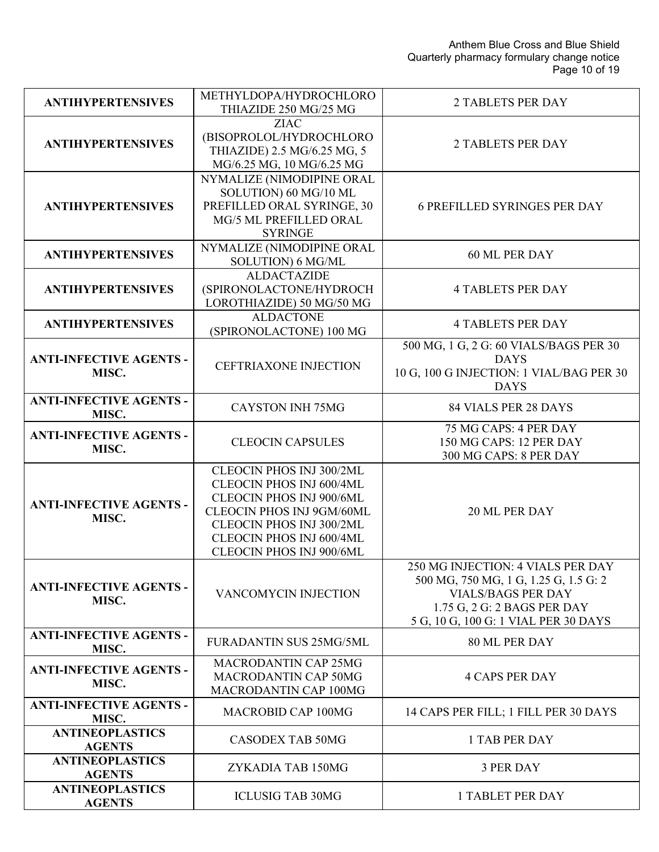| <b>ANTIHYPERTENSIVES</b>                | METHYLDOPA/HYDROCHLORO                                                                                                                                                                            | <b>2 TABLETS PER DAY</b>                                                                                                                                                       |
|-----------------------------------------|---------------------------------------------------------------------------------------------------------------------------------------------------------------------------------------------------|--------------------------------------------------------------------------------------------------------------------------------------------------------------------------------|
|                                         | THIAZIDE 250 MG/25 MG<br><b>ZIAC</b>                                                                                                                                                              |                                                                                                                                                                                |
| <b>ANTIHYPERTENSIVES</b>                | (BISOPROLOL/HYDROCHLORO<br>THIAZIDE) 2.5 MG/6.25 MG, 5<br>MG/6.25 MG, 10 MG/6.25 MG                                                                                                               | <b>2 TABLETS PER DAY</b>                                                                                                                                                       |
| <b>ANTIHYPERTENSIVES</b>                | NYMALIZE (NIMODIPINE ORAL<br>SOLUTION) 60 MG/10 ML<br>PREFILLED ORAL SYRINGE, 30<br>MG/5 ML PREFILLED ORAL<br><b>SYRINGE</b>                                                                      | <b>6 PREFILLED SYRINGES PER DAY</b>                                                                                                                                            |
| <b>ANTIHYPERTENSIVES</b>                | NYMALIZE (NIMODIPINE ORAL<br>SOLUTION) 6 MG/ML                                                                                                                                                    | 60 ML PER DAY                                                                                                                                                                  |
| <b>ANTIHYPERTENSIVES</b>                | <b>ALDACTAZIDE</b><br>(SPIRONOLACTONE/HYDROCH<br>LOROTHIAZIDE) 50 MG/50 MG                                                                                                                        | <b>4 TABLETS PER DAY</b>                                                                                                                                                       |
| <b>ANTIHYPERTENSIVES</b>                | <b>ALDACTONE</b><br>(SPIRONOLACTONE) 100 MG                                                                                                                                                       | <b>4 TABLETS PER DAY</b>                                                                                                                                                       |
| <b>ANTI-INFECTIVE AGENTS -</b><br>MISC. | <b>CEFTRIAXONE INJECTION</b>                                                                                                                                                                      | 500 MG, 1 G, 2 G: 60 VIALS/BAGS PER 30<br><b>DAYS</b><br>10 G, 100 G INJECTION: 1 VIAL/BAG PER 30<br><b>DAYS</b>                                                               |
| <b>ANTI-INFECTIVE AGENTS -</b><br>MISC. | <b>CAYSTON INH 75MG</b>                                                                                                                                                                           | <b>84 VIALS PER 28 DAYS</b>                                                                                                                                                    |
| <b>ANTI-INFECTIVE AGENTS -</b><br>MISC. | <b>CLEOCIN CAPSULES</b>                                                                                                                                                                           | 75 MG CAPS: 4 PER DAY<br>150 MG CAPS: 12 PER DAY<br>300 MG CAPS: 8 PER DAY                                                                                                     |
| <b>ANTI-INFECTIVE AGENTS -</b><br>MISC. | CLEOCIN PHOS INJ 300/2ML<br>CLEOCIN PHOS INJ 600/4ML<br>CLEOCIN PHOS INJ 900/6ML<br>CLEOCIN PHOS INJ 9GM/60ML<br>CLEOCIN PHOS INJ 300/2ML<br>CLEOCIN PHOS INJ 600/4ML<br>CLEOCIN PHOS INJ 900/6ML | 20 ML PER DAY                                                                                                                                                                  |
| <b>ANTI-INFECTIVE AGENTS -</b><br>MISC. | VANCOMYCIN INJECTION                                                                                                                                                                              | 250 MG INJECTION: 4 VIALS PER DAY<br>500 MG, 750 MG, 1 G, 1.25 G, 1.5 G: 2<br><b>VIALS/BAGS PER DAY</b><br>1.75 G, 2 G: 2 BAGS PER DAY<br>5 G, 10 G, 100 G: 1 VIAL PER 30 DAYS |
| <b>ANTI-INFECTIVE AGENTS -</b><br>MISC. | FURADANTIN SUS 25MG/5ML                                                                                                                                                                           | 80 ML PER DAY                                                                                                                                                                  |
| <b>ANTI-INFECTIVE AGENTS -</b><br>MISC. | <b>MACRODANTIN CAP 25MG</b><br><b>MACRODANTIN CAP 50MG</b><br>MACRODANTIN CAP 100MG                                                                                                               | <b>4 CAPS PER DAY</b>                                                                                                                                                          |
| <b>ANTI-INFECTIVE AGENTS -</b><br>MISC. | <b>MACROBID CAP 100MG</b>                                                                                                                                                                         | 14 CAPS PER FILL; 1 FILL PER 30 DAYS                                                                                                                                           |
| <b>ANTINEOPLASTICS</b><br><b>AGENTS</b> | <b>CASODEX TAB 50MG</b>                                                                                                                                                                           | <b>1 TAB PER DAY</b>                                                                                                                                                           |
| <b>ANTINEOPLASTICS</b><br><b>AGENTS</b> | ZYKADIA TAB 150MG                                                                                                                                                                                 | <b>3 PER DAY</b>                                                                                                                                                               |
| <b>ANTINEOPLASTICS</b><br><b>AGENTS</b> | <b>ICLUSIG TAB 30MG</b>                                                                                                                                                                           | <b>1 TABLET PER DAY</b>                                                                                                                                                        |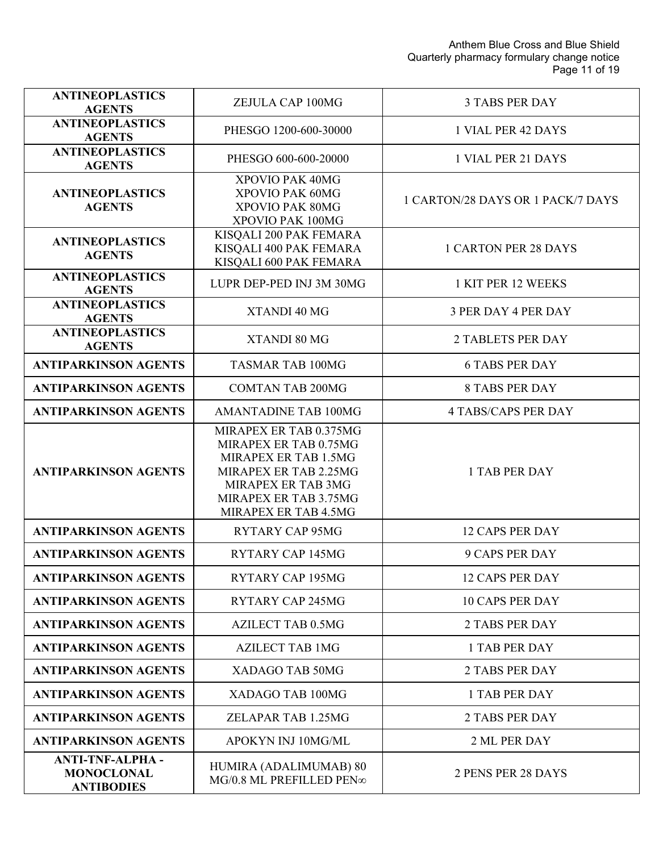Anthem Blue Cross and Blue Shield Quarterly pharmacy formulary change notice Page 11 of 19

| <b>ANTINEOPLASTICS</b><br><b>AGENTS</b>                          | ZEJULA CAP 100MG                                                                                                                                                        | <b>3 TABS PER DAY</b>             |
|------------------------------------------------------------------|-------------------------------------------------------------------------------------------------------------------------------------------------------------------------|-----------------------------------|
| <b>ANTINEOPLASTICS</b><br><b>AGENTS</b>                          | PHESGO 1200-600-30000                                                                                                                                                   | 1 VIAL PER 42 DAYS                |
| <b>ANTINEOPLASTICS</b><br><b>AGENTS</b>                          | PHESGO 600-600-20000                                                                                                                                                    | 1 VIAL PER 21 DAYS                |
| <b>ANTINEOPLASTICS</b><br><b>AGENTS</b>                          | XPOVIO PAK 40MG<br>XPOVIO PAK 60MG<br>XPOVIO PAK 80MG<br>XPOVIO PAK 100MG                                                                                               | 1 CARTON/28 DAYS OR 1 PACK/7 DAYS |
| <b>ANTINEOPLASTICS</b><br><b>AGENTS</b>                          | KISQALI 200 PAK FEMARA<br>KISQALI 400 PAK FEMARA<br>KISQALI 600 PAK FEMARA                                                                                              | <b>1 CARTON PER 28 DAYS</b>       |
| <b>ANTINEOPLASTICS</b><br><b>AGENTS</b>                          | LUPR DEP-PED INJ 3M 30MG                                                                                                                                                | 1 KIT PER 12 WEEKS                |
| <b>ANTINEOPLASTICS</b><br><b>AGENTS</b>                          | XTANDI 40 MG                                                                                                                                                            | <b>3 PER DAY 4 PER DAY</b>        |
| <b>ANTINEOPLASTICS</b><br><b>AGENTS</b>                          | XTANDI 80 MG                                                                                                                                                            | <b>2 TABLETS PER DAY</b>          |
| <b>ANTIPARKINSON AGENTS</b>                                      | <b>TASMAR TAB 100MG</b>                                                                                                                                                 | <b>6 TABS PER DAY</b>             |
| <b>ANTIPARKINSON AGENTS</b>                                      | <b>COMTAN TAB 200MG</b>                                                                                                                                                 | <b>8 TABS PER DAY</b>             |
| <b>ANTIPARKINSON AGENTS</b>                                      | <b>AMANTADINE TAB 100MG</b>                                                                                                                                             | <b>4 TABS/CAPS PER DAY</b>        |
| <b>ANTIPARKINSON AGENTS</b>                                      | MIRAPEX ER TAB 0.375MG<br>MIRAPEX ER TAB 0.75MG<br>MIRAPEX ER TAB 1.5MG<br>MIRAPEX ER TAB 2.25MG<br>MIRAPEX ER TAB 3MG<br>MIRAPEX ER TAB 3.75MG<br>MIRAPEX ER TAB 4.5MG | <b>1 TAB PER DAY</b>              |
| <b>ANTIPARKINSON AGENTS</b>                                      | <b>RYTARY CAP 95MG</b>                                                                                                                                                  | <b>12 CAPS PER DAY</b>            |
| <b>ANTIPARKINSON AGENTS</b>                                      | <b>RYTARY CAP 145MG</b>                                                                                                                                                 | <b>9 CAPS PER DAY</b>             |
| <b>ANTIPARKINSON AGENTS</b>                                      | <b>RYTARY CAP 195MG</b>                                                                                                                                                 | <b>12 CAPS PER DAY</b>            |
| <b>ANTIPARKINSON AGENTS</b>                                      | <b>RYTARY CAP 245MG</b>                                                                                                                                                 | <b>10 CAPS PER DAY</b>            |
| <b>ANTIPARKINSON AGENTS</b>                                      | <b>AZILECT TAB 0.5MG</b>                                                                                                                                                | <b>2 TABS PER DAY</b>             |
| <b>ANTIPARKINSON AGENTS</b>                                      | <b>AZILECT TAB 1MG</b>                                                                                                                                                  | 1 TAB PER DAY                     |
| <b>ANTIPARKINSON AGENTS</b>                                      | XADAGO TAB 50MG                                                                                                                                                         | <b>2 TABS PER DAY</b>             |
| <b>ANTIPARKINSON AGENTS</b>                                      | XADAGO TAB 100MG                                                                                                                                                        | 1 TAB PER DAY                     |
| <b>ANTIPARKINSON AGENTS</b>                                      | ZELAPAR TAB 1.25MG                                                                                                                                                      | <b>2 TABS PER DAY</b>             |
| <b>ANTIPARKINSON AGENTS</b>                                      | APOKYN INJ 10MG/ML                                                                                                                                                      | 2 ML PER DAY                      |
| <b>ANTI-TNF-ALPHA-</b><br><b>MONOCLONAL</b><br><b>ANTIBODIES</b> | HUMIRA (ADALIMUMAB) 80<br>MG/0.8 ML PREFILLED PEN∞                                                                                                                      | 2 PENS PER 28 DAYS                |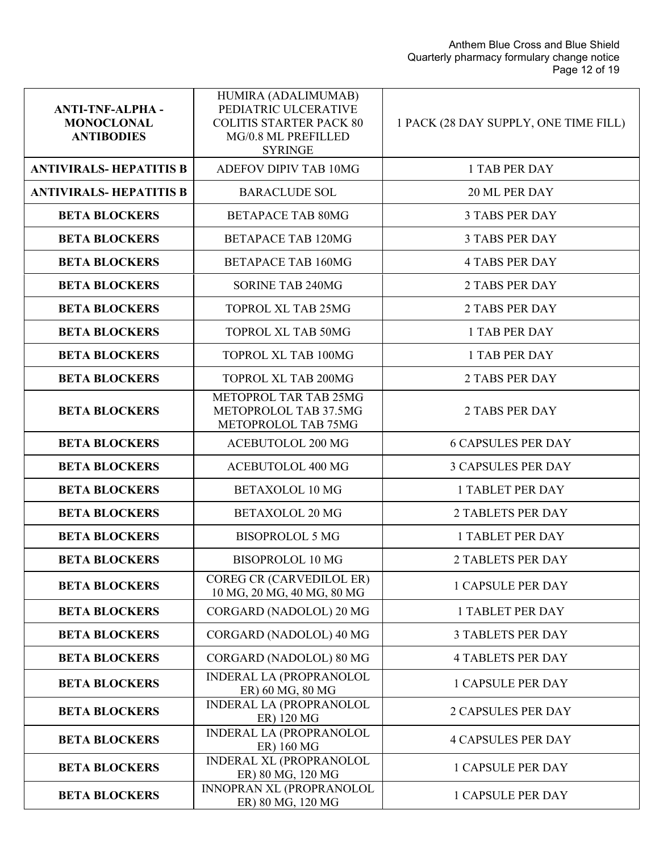| <b>ANTI-TNF-ALPHA-</b><br><b>MONOCLONAL</b><br><b>ANTIBODIES</b> | HUMIRA (ADALIMUMAB)<br>PEDIATRIC ULCERATIVE<br><b>COLITIS STARTER PACK 80</b><br>MG/0.8 ML PREFILLED<br><b>SYRINGE</b> | 1 PACK (28 DAY SUPPLY, ONE TIME FILL) |
|------------------------------------------------------------------|------------------------------------------------------------------------------------------------------------------------|---------------------------------------|
| <b>ANTIVIRALS-HEPATITIS B</b>                                    | ADEFOV DIPIV TAB 10MG                                                                                                  | <b>1 TAB PER DAY</b>                  |
| <b>ANTIVIRALS-HEPATITIS B</b>                                    | <b>BARACLUDE SOL</b>                                                                                                   | 20 ML PER DAY                         |
| <b>BETA BLOCKERS</b>                                             | <b>BETAPACE TAB 80MG</b>                                                                                               | <b>3 TABS PER DAY</b>                 |
| <b>BETA BLOCKERS</b>                                             | <b>BETAPACE TAB 120MG</b>                                                                                              | <b>3 TABS PER DAY</b>                 |
| <b>BETA BLOCKERS</b>                                             | <b>BETAPACE TAB 160MG</b>                                                                                              | <b>4 TABS PER DAY</b>                 |
| <b>BETA BLOCKERS</b>                                             | <b>SORINE TAB 240MG</b>                                                                                                | <b>2 TABS PER DAY</b>                 |
| <b>BETA BLOCKERS</b>                                             | <b>TOPROL XL TAB 25MG</b>                                                                                              | <b>2 TABS PER DAY</b>                 |
| <b>BETA BLOCKERS</b>                                             | <b>TOPROL XL TAB 50MG</b>                                                                                              | 1 TAB PER DAY                         |
| <b>BETA BLOCKERS</b>                                             | TOPROL XL TAB 100MG                                                                                                    | 1 TAB PER DAY                         |
| <b>BETA BLOCKERS</b>                                             | <b>TOPROL XL TAB 200MG</b>                                                                                             | <b>2 TABS PER DAY</b>                 |
| <b>BETA BLOCKERS</b>                                             | METOPROL TAR TAB 25MG<br>METOPROLOL TAB 37.5MG<br>METOPROLOL TAB 75MG                                                  | <b>2 TABS PER DAY</b>                 |
| <b>BETA BLOCKERS</b>                                             | <b>ACEBUTOLOL 200 MG</b>                                                                                               | <b>6 CAPSULES PER DAY</b>             |
| <b>BETA BLOCKERS</b>                                             | <b>ACEBUTOLOL 400 MG</b>                                                                                               | <b>3 CAPSULES PER DAY</b>             |
| <b>BETA BLOCKERS</b>                                             | <b>BETAXOLOL 10 MG</b>                                                                                                 | <b>1 TABLET PER DAY</b>               |
| <b>BETA BLOCKERS</b>                                             | <b>BETAXOLOL 20 MG</b>                                                                                                 | <b>2 TABLETS PER DAY</b>              |
| <b>BETA BLOCKERS</b>                                             | <b>BISOPROLOL 5 MG</b>                                                                                                 | <b>1 TABLET PER DAY</b>               |
| <b>BETA BLOCKERS</b>                                             | <b>BISOPROLOL 10 MG</b>                                                                                                | 2 TABLETS PER DAY                     |
| <b>BETA BLOCKERS</b>                                             | COREG CR (CARVEDILOL ER)<br>10 MG, 20 MG, 40 MG, 80 MG                                                                 | <b>1 CAPSULE PER DAY</b>              |
| <b>BETA BLOCKERS</b>                                             | CORGARD (NADOLOL) 20 MG                                                                                                | <b>1 TABLET PER DAY</b>               |
| <b>BETA BLOCKERS</b>                                             | CORGARD (NADOLOL) 40 MG                                                                                                | <b>3 TABLETS PER DAY</b>              |
| <b>BETA BLOCKERS</b>                                             | CORGARD (NADOLOL) 80 MG                                                                                                | <b>4 TABLETS PER DAY</b>              |
| <b>BETA BLOCKERS</b>                                             | <b>INDERAL LA (PROPRANOLOL</b><br>ER) 60 MG, 80 MG                                                                     | <b>1 CAPSULE PER DAY</b>              |
| <b>BETA BLOCKERS</b>                                             | <b>INDERAL LA (PROPRANOLOL</b><br>ER) 120 MG                                                                           | <b>2 CAPSULES PER DAY</b>             |
| <b>BETA BLOCKERS</b>                                             | <b>INDERAL LA (PROPRANOLOL</b><br>ER) 160 MG                                                                           | <b>4 CAPSULES PER DAY</b>             |
| <b>BETA BLOCKERS</b>                                             | <b>INDERAL XL (PROPRANOLOL</b><br>ER) 80 MG, 120 MG                                                                    | <b>1 CAPSULE PER DAY</b>              |
| <b>BETA BLOCKERS</b>                                             | INNOPRAN XL (PROPRANOLOL<br>ER) 80 MG, 120 MG                                                                          | <b>1 CAPSULE PER DAY</b>              |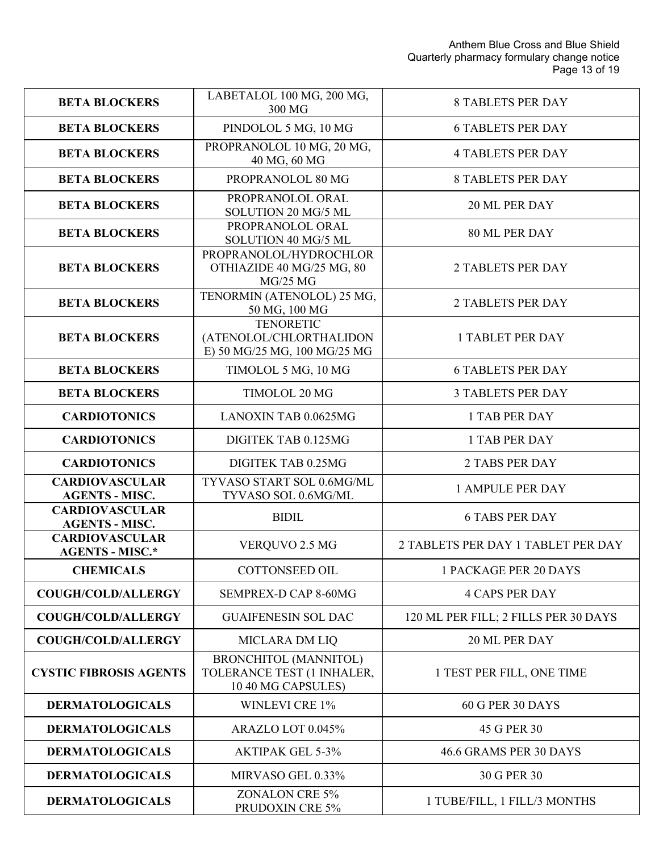| <b>BETA BLOCKERS</b>                            | LABETALOL 100 MG, 200 MG,<br>300 MG                                              | <b>8 TABLETS PER DAY</b>             |
|-------------------------------------------------|----------------------------------------------------------------------------------|--------------------------------------|
| <b>BETA BLOCKERS</b>                            | PINDOLOL 5 MG, 10 MG                                                             | <b>6 TABLETS PER DAY</b>             |
| <b>BETA BLOCKERS</b>                            | PROPRANOLOL 10 MG, 20 MG,<br>40 MG, 60 MG                                        | <b>4 TABLETS PER DAY</b>             |
| <b>BETA BLOCKERS</b>                            | PROPRANOLOL 80 MG                                                                | <b>8 TABLETS PER DAY</b>             |
| <b>BETA BLOCKERS</b>                            | PROPRANOLOL ORAL<br>SOLUTION 20 MG/5 ML                                          | 20 ML PER DAY                        |
| <b>BETA BLOCKERS</b>                            | PROPRANOLOL ORAL<br>SOLUTION 40 MG/5 ML                                          | 80 ML PER DAY                        |
| <b>BETA BLOCKERS</b>                            | PROPRANOLOL/HYDROCHLOR<br>OTHIAZIDE 40 MG/25 MG, 80<br>MG/25 MG                  | <b>2 TABLETS PER DAY</b>             |
| <b>BETA BLOCKERS</b>                            | TENORMIN (ATENOLOL) 25 MG,<br>50 MG, 100 MG                                      | <b>2 TABLETS PER DAY</b>             |
| <b>BETA BLOCKERS</b>                            | <b>TENORETIC</b><br>(ATENOLOL/CHLORTHALIDON<br>E) 50 MG/25 MG, 100 MG/25 MG      | <b>1 TABLET PER DAY</b>              |
| <b>BETA BLOCKERS</b>                            | TIMOLOL 5 MG, 10 MG                                                              | <b>6 TABLETS PER DAY</b>             |
| <b>BETA BLOCKERS</b>                            | TIMOLOL 20 MG                                                                    | <b>3 TABLETS PER DAY</b>             |
| <b>CARDIOTONICS</b>                             | LANOXIN TAB 0.0625MG                                                             | 1 TAB PER DAY                        |
| <b>CARDIOTONICS</b>                             | DIGITEK TAB 0.125MG                                                              | 1 TAB PER DAY                        |
| <b>CARDIOTONICS</b>                             | DIGITEK TAB 0.25MG                                                               | <b>2 TABS PER DAY</b>                |
| <b>CARDIOVASCULAR</b><br><b>AGENTS - MISC.</b>  | TYVASO START SOL 0.6MG/ML<br>TYVASO SOL 0.6MG/ML                                 | <b>1 AMPULE PER DAY</b>              |
| <b>CARDIOVASCULAR</b><br><b>AGENTS - MISC.</b>  | <b>BIDIL</b>                                                                     | <b>6 TABS PER DAY</b>                |
| <b>CARDIOVASCULAR</b><br><b>AGENTS - MISC.*</b> | VERQUVO 2.5 MG                                                                   | 2 TABLETS PER DAY 1 TABLET PER DAY   |
| <b>CHEMICALS</b>                                | COTTONSEED OIL                                                                   | 1 PACKAGE PER 20 DAYS                |
| <b>COUGH/COLD/ALLERGY</b>                       | SEMPREX-D CAP 8-60MG                                                             | <b>4 CAPS PER DAY</b>                |
| <b>COUGH/COLD/ALLERGY</b>                       | <b>GUAIFENESIN SOL DAC</b>                                                       | 120 ML PER FILL; 2 FILLS PER 30 DAYS |
| <b>COUGH/COLD/ALLERGY</b>                       | <b>MICLARA DM LIQ</b>                                                            | 20 ML PER DAY                        |
| <b>CYSTIC FIBROSIS AGENTS</b>                   | <b>BRONCHITOL (MANNITOL)</b><br>TOLERANCE TEST (1 INHALER,<br>10 40 MG CAPSULES) | 1 TEST PER FILL, ONE TIME            |
| <b>DERMATOLOGICALS</b>                          | <b>WINLEVI CRE 1%</b>                                                            | 60 G PER 30 DAYS                     |
| <b>DERMATOLOGICALS</b>                          | ARAZLO LOT 0.045%                                                                | 45 G PER 30                          |
| <b>DERMATOLOGICALS</b>                          | <b>AKTIPAK GEL 5-3%</b>                                                          | 46.6 GRAMS PER 30 DAYS               |
| <b>DERMATOLOGICALS</b>                          | MIRVASO GEL 0.33%                                                                | 30 G PER 30                          |
| <b>DERMATOLOGICALS</b>                          | <b>ZONALON CRE 5%</b><br>PRUDOXIN CRE 5%                                         | 1 TUBE/FILL, 1 FILL/3 MONTHS         |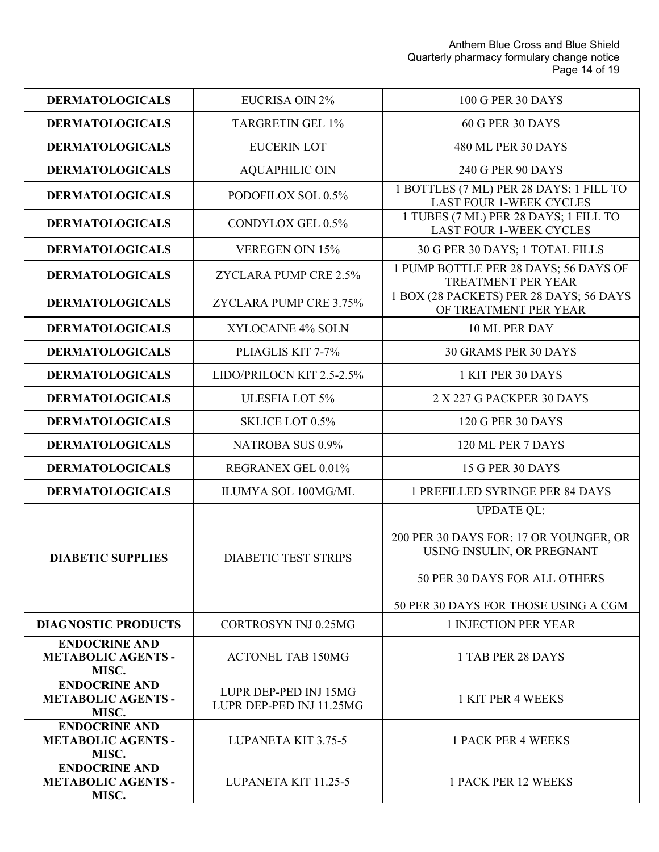Anthem Blue Cross and Blue Shield Quarterly pharmacy formulary change notice Page 14 of 19

| <b>DERMATOLOGICALS</b>                                     | EUCRISA OIN 2%                                    | 100 G PER 30 DAYS                                                                                                                                                  |
|------------------------------------------------------------|---------------------------------------------------|--------------------------------------------------------------------------------------------------------------------------------------------------------------------|
| <b>DERMATOLOGICALS</b>                                     | <b>TARGRETIN GEL 1%</b>                           | 60 G PER 30 DAYS                                                                                                                                                   |
| <b>DERMATOLOGICALS</b>                                     | <b>EUCERIN LOT</b>                                | 480 ML PER 30 DAYS                                                                                                                                                 |
| <b>DERMATOLOGICALS</b>                                     | <b>AQUAPHILIC OIN</b>                             | 240 G PER 90 DAYS                                                                                                                                                  |
| <b>DERMATOLOGICALS</b>                                     | PODOFILOX SOL 0.5%                                | 1 BOTTLES (7 ML) PER 28 DAYS; 1 FILL TO<br><b>LAST FOUR 1-WEEK CYCLES</b>                                                                                          |
| <b>DERMATOLOGICALS</b>                                     | CONDYLOX GEL 0.5%                                 | 1 TUBES (7 ML) PER 28 DAYS; 1 FILL TO<br><b>LAST FOUR 1-WEEK CYCLES</b>                                                                                            |
| <b>DERMATOLOGICALS</b>                                     | <b>VEREGEN OIN 15%</b>                            | 30 G PER 30 DAYS; 1 TOTAL FILLS                                                                                                                                    |
| <b>DERMATOLOGICALS</b>                                     | ZYCLARA PUMP CRE 2.5%                             | 1 PUMP BOTTLE PER 28 DAYS; 56 DAYS OF<br>TREATMENT PER YEAR                                                                                                        |
| <b>DERMATOLOGICALS</b>                                     | ZYCLARA PUMP CRE 3.75%                            | 1 BOX (28 PACKETS) PER 28 DAYS; 56 DAYS<br>OF TREATMENT PER YEAR                                                                                                   |
| <b>DERMATOLOGICALS</b>                                     | <b>XYLOCAINE 4% SOLN</b>                          | 10 ML PER DAY                                                                                                                                                      |
| <b>DERMATOLOGICALS</b>                                     | PLIAGLIS KIT 7-7%                                 | 30 GRAMS PER 30 DAYS                                                                                                                                               |
| <b>DERMATOLOGICALS</b>                                     | LIDO/PRILOCN KIT 2.5-2.5%                         | 1 KIT PER 30 DAYS                                                                                                                                                  |
| <b>DERMATOLOGICALS</b>                                     | <b>ULESFIA LOT 5%</b>                             | 2 X 227 G PACKPER 30 DAYS                                                                                                                                          |
| <b>DERMATOLOGICALS</b>                                     | <b>SKLICE LOT 0.5%</b>                            | <b>120 G PER 30 DAYS</b>                                                                                                                                           |
| <b>DERMATOLOGICALS</b>                                     | <b>NATROBA SUS 0.9%</b>                           | 120 ML PER 7 DAYS                                                                                                                                                  |
| <b>DERMATOLOGICALS</b>                                     | REGRANEX GEL 0.01%                                | <b>15 G PER 30 DAYS</b>                                                                                                                                            |
| <b>DERMATOLOGICALS</b>                                     | ILUMYA SOL 100MG/ML                               | 1 PREFILLED SYRINGE PER 84 DAYS                                                                                                                                    |
| <b>DIABETIC SUPPLIES</b>                                   | <b>DIABETIC TEST STRIPS</b>                       | <b>UPDATE QL:</b><br>200 PER 30 DAYS FOR: 17 OR YOUNGER, OR<br>USING INSULIN, OR PREGNANT<br>50 PER 30 DAYS FOR ALL OTHERS<br>50 PER 30 DAYS FOR THOSE USING A CGM |
| <b>DIAGNOSTIC PRODUCTS</b>                                 | <b>CORTROSYN INJ 0.25MG</b>                       | <b>1 INJECTION PER YEAR</b>                                                                                                                                        |
| <b>ENDOCRINE AND</b><br><b>METABOLIC AGENTS -</b><br>MISC. | <b>ACTONEL TAB 150MG</b>                          | 1 TAB PER 28 DAYS                                                                                                                                                  |
| <b>ENDOCRINE AND</b><br><b>METABOLIC AGENTS -</b><br>MISC. | LUPR DEP-PED INJ 15MG<br>LUPR DEP-PED INJ 11.25MG | 1 KIT PER 4 WEEKS                                                                                                                                                  |
| <b>ENDOCRINE AND</b><br><b>METABOLIC AGENTS -</b><br>MISC. | <b>LUPANETA KIT 3.75-5</b>                        | <b>1 PACK PER 4 WEEKS</b>                                                                                                                                          |
| <b>ENDOCRINE AND</b><br><b>METABOLIC AGENTS -</b><br>MISC. | LUPANETA KIT 11.25-5                              | <b>1 PACK PER 12 WEEKS</b>                                                                                                                                         |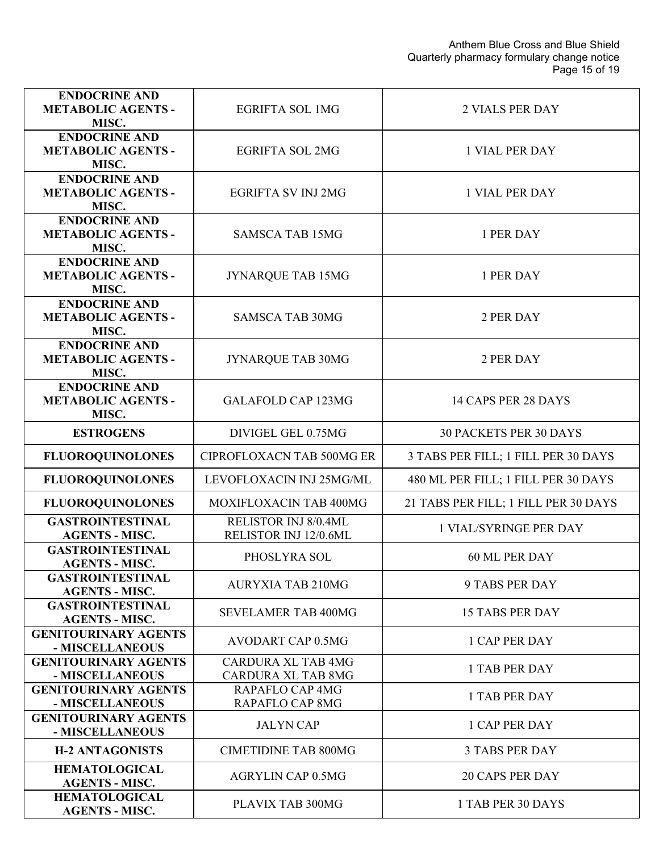| <b>ENDOCRINE AND</b><br><b>METABOLIC AGENTS -</b><br>MISC. | <b>EGRIFTA SOL 1MG</b>                                 | <b>2 VIALS PER DAY</b>               |
|------------------------------------------------------------|--------------------------------------------------------|--------------------------------------|
| <b>ENDOCRINE AND</b><br><b>METABOLIC AGENTS -</b><br>MISC. | <b>EGRIFTA SOL 2MG</b>                                 | <b>1 VIAL PER DAY</b>                |
| <b>ENDOCRINE AND</b><br><b>METABOLIC AGENTS -</b><br>MISC. | <b>EGRIFTA SV INJ 2MG</b>                              | <b>1 VIAL PER DAY</b>                |
| <b>ENDOCRINE AND</b><br><b>METABOLIC AGENTS -</b><br>MISC. | <b>SAMSCA TAB 15MG</b>                                 | 1 PER DAY                            |
| <b>ENDOCRINE AND</b><br><b>METABOLIC AGENTS -</b><br>MISC. | <b>JYNARQUE TAB 15MG</b>                               | 1 PER DAY                            |
| <b>ENDOCRINE AND</b><br><b>METABOLIC AGENTS -</b><br>MISC. | <b>SAMSCA TAB 30MG</b>                                 | 2 PER DAY                            |
| <b>ENDOCRINE AND</b><br><b>METABOLIC AGENTS -</b><br>MISC. | JYNARQUE TAB 30MG                                      | 2 PER DAY                            |
| <b>ENDOCRINE AND</b><br><b>METABOLIC AGENTS -</b><br>MISC. | <b>GALAFOLD CAP 123MG</b>                              | 14 CAPS PER 28 DAYS                  |
| <b>ESTROGENS</b>                                           | DIVIGEL GEL 0.75MG                                     | <b>30 PACKETS PER 30 DAYS</b>        |
| <b>FLUOROQUINOLONES</b>                                    | <b>CIPROFLOXACN TAB 500MG ER</b>                       | 3 TABS PER FILL; 1 FILL PER 30 DAYS  |
| <b>FLUOROQUINOLONES</b>                                    | LEVOFLOXACIN INJ 25MG/ML                               | 480 ML PER FILL; 1 FILL PER 30 DAYS  |
| <b>FLUOROQUINOLONES</b>                                    | MOXIFLOXACIN TAB 400MG                                 | 21 TABS PER FILL; 1 FILL PER 30 DAYS |
| <b>GASTROINTESTINAL</b><br><b>AGENTS - MISC.</b>           | RELISTOR INJ 8/0.4ML<br>RELISTOR INJ 12/0.6ML          | <b>1 VIAL/SYRINGE PER DAY</b>        |
| <b>GASTROINTESTINAL</b><br><b>AGENTS - MISC.</b>           | PHOSLYRA SOL                                           | 60 ML PER DAY                        |
| <b>GASTROINTESTINAL</b><br><b>AGENTS - MISC.</b>           | <b>AURYXIA TAB 210MG</b>                               | <b>9 TABS PER DAY</b>                |
| <b>GASTROINTESTINAL</b><br><b>AGENTS - MISC.</b>           | <b>SEVELAMER TAB 400MG</b>                             | <b>15 TABS PER DAY</b>               |
| <b>GENITOURINARY AGENTS</b><br>- MISCELLANEOUS             | AVODART CAP 0.5MG                                      | <b>1 CAP PER DAY</b>                 |
| <b>GENITOURINARY AGENTS</b><br>- MISCELLANEOUS             | <b>CARDURA XL TAB 4MG</b><br><b>CARDURA XL TAB 8MG</b> | <b>1 TAB PER DAY</b>                 |
| <b>GENITOURINARY AGENTS</b><br>- MISCELLANEOUS             | RAPAFLO CAP 4MG<br><b>RAPAFLO CAP 8MG</b>              | <b>1 TAB PER DAY</b>                 |
| <b>GENITOURINARY AGENTS</b><br>- MISCELLANEOUS             | <b>JALYN CAP</b>                                       | <b>1 CAP PER DAY</b>                 |
| <b>H-2 ANTAGONISTS</b>                                     | <b>CIMETIDINE TAB 800MG</b>                            | <b>3 TABS PER DAY</b>                |
| <b>HEMATOLOGICAL</b><br><b>AGENTS - MISC.</b>              | <b>AGRYLIN CAP 0.5MG</b>                               | <b>20 CAPS PER DAY</b>               |
| <b>HEMATOLOGICAL</b><br><b>AGENTS - MISC.</b>              | PLAVIX TAB 300MG                                       | 1 TAB PER 30 DAYS                    |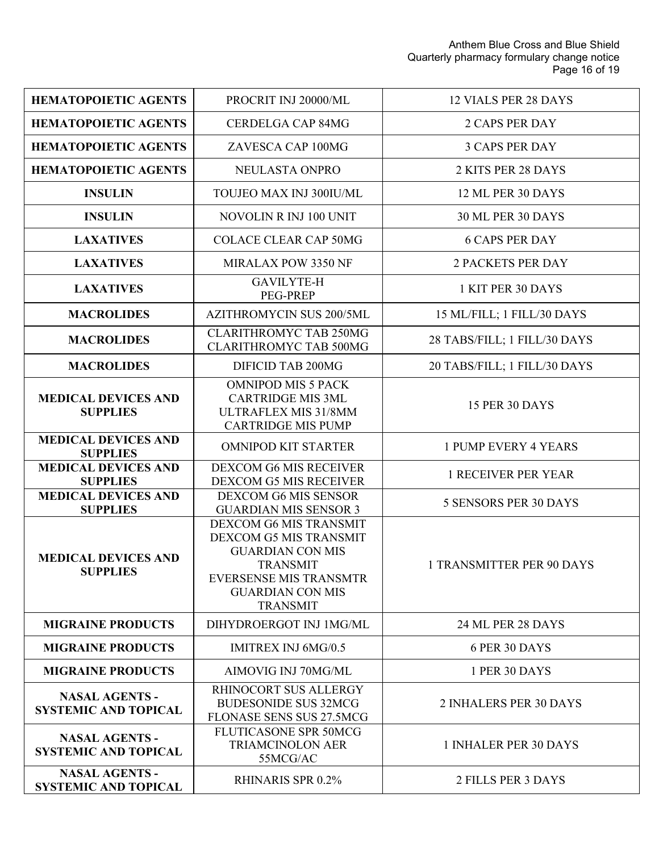| <b>HEMATOPOIETIC AGENTS</b>                          | PROCRIT INJ 20000/ML                                                                                                                                                          | <b>12 VIALS PER 28 DAYS</b>      |
|------------------------------------------------------|-------------------------------------------------------------------------------------------------------------------------------------------------------------------------------|----------------------------------|
| <b>HEMATOPOIETIC AGENTS</b>                          | <b>CERDELGA CAP 84MG</b>                                                                                                                                                      | <b>2 CAPS PER DAY</b>            |
| <b>HEMATOPOIETIC AGENTS</b>                          | ZAVESCA CAP 100MG                                                                                                                                                             | <b>3 CAPS PER DAY</b>            |
| <b>HEMATOPOIETIC AGENTS</b>                          | NEULASTA ONPRO                                                                                                                                                                | 2 KITS PER 28 DAYS               |
| <b>INSULIN</b>                                       | TOUJEO MAX INJ 300IU/ML                                                                                                                                                       | 12 ML PER 30 DAYS                |
| <b>INSULIN</b>                                       | NOVOLIN R INJ 100 UNIT                                                                                                                                                        | <b>30 ML PER 30 DAYS</b>         |
| <b>LAXATIVES</b>                                     | <b>COLACE CLEAR CAP 50MG</b>                                                                                                                                                  | <b>6 CAPS PER DAY</b>            |
| <b>LAXATIVES</b>                                     | MIRALAX POW 3350 NF                                                                                                                                                           | <b>2 PACKETS PER DAY</b>         |
| <b>LAXATIVES</b>                                     | <b>GAVILYTE-H</b><br><b>PEG-PREP</b>                                                                                                                                          | 1 KIT PER 30 DAYS                |
| <b>MACROLIDES</b>                                    | <b>AZITHROMYCIN SUS 200/5ML</b>                                                                                                                                               | 15 ML/FILL; 1 FILL/30 DAYS       |
| <b>MACROLIDES</b>                                    | <b>CLARITHROMYC TAB 250MG</b><br><b>CLARITHROMYC TAB 500MG</b>                                                                                                                | 28 TABS/FILL; 1 FILL/30 DAYS     |
| <b>MACROLIDES</b>                                    | DIFICID TAB 200MG                                                                                                                                                             | 20 TABS/FILL; 1 FILL/30 DAYS     |
| <b>MEDICAL DEVICES AND</b><br><b>SUPPLIES</b>        | <b>OMNIPOD MIS 5 PACK</b><br><b>CARTRIDGE MIS 3ML</b><br>ULTRAFLEX MIS 31/8MM<br><b>CARTRIDGE MIS PUMP</b>                                                                    | <b>15 PER 30 DAYS</b>            |
| <b>MEDICAL DEVICES AND</b><br><b>SUPPLIES</b>        | <b>OMNIPOD KIT STARTER</b>                                                                                                                                                    | <b>1 PUMP EVERY 4 YEARS</b>      |
| <b>MEDICAL DEVICES AND</b><br><b>SUPPLIES</b>        | <b>DEXCOM G6 MIS RECEIVER</b><br>DEXCOM G5 MIS RECEIVER                                                                                                                       | <b>1 RECEIVER PER YEAR</b>       |
| <b>MEDICAL DEVICES AND</b><br><b>SUPPLIES</b>        | DEXCOM G6 MIS SENSOR<br><b>GUARDIAN MIS SENSOR 3</b>                                                                                                                          | <b>5 SENSORS PER 30 DAYS</b>     |
| <b>MEDICAL DEVICES AND</b><br><b>SUPPLIES</b>        | DEXCOM G6 MIS TRANSMIT<br>DEXCOM G5 MIS TRANSMIT<br><b>GUARDIAN CON MIS</b><br><b>TRANSMIT</b><br><b>EVERSENSE MIS TRANSMTR</b><br><b>GUARDIAN CON MIS</b><br><b>TRANSMIT</b> | <b>1 TRANSMITTER PER 90 DAYS</b> |
| <b>MIGRAINE PRODUCTS</b>                             | DIHYDROERGOT INJ 1MG/ML                                                                                                                                                       | 24 ML PER 28 DAYS                |
| <b>MIGRAINE PRODUCTS</b>                             | <b>IMITREX INJ 6MG/0.5</b>                                                                                                                                                    | 6 PER 30 DAYS                    |
| <b>MIGRAINE PRODUCTS</b>                             | AIMOVIG INJ 70MG/ML                                                                                                                                                           | 1 PER 30 DAYS                    |
| <b>NASAL AGENTS -</b><br><b>SYSTEMIC AND TOPICAL</b> | RHINOCORT SUS ALLERGY<br><b>BUDESONIDE SUS 32MCG</b><br>FLONASE SENS SUS 27.5MCG                                                                                              | 2 INHALERS PER 30 DAYS           |
| <b>NASAL AGENTS -</b><br><b>SYSTEMIC AND TOPICAL</b> | FLUTICASONE SPR 50MCG<br><b>TRIAMCINOLON AER</b><br>55MCG/AC                                                                                                                  | 1 INHALER PER 30 DAYS            |
| <b>NASAL AGENTS -</b><br><b>SYSTEMIC AND TOPICAL</b> | RHINARIS SPR 0.2%                                                                                                                                                             | 2 FILLS PER 3 DAYS               |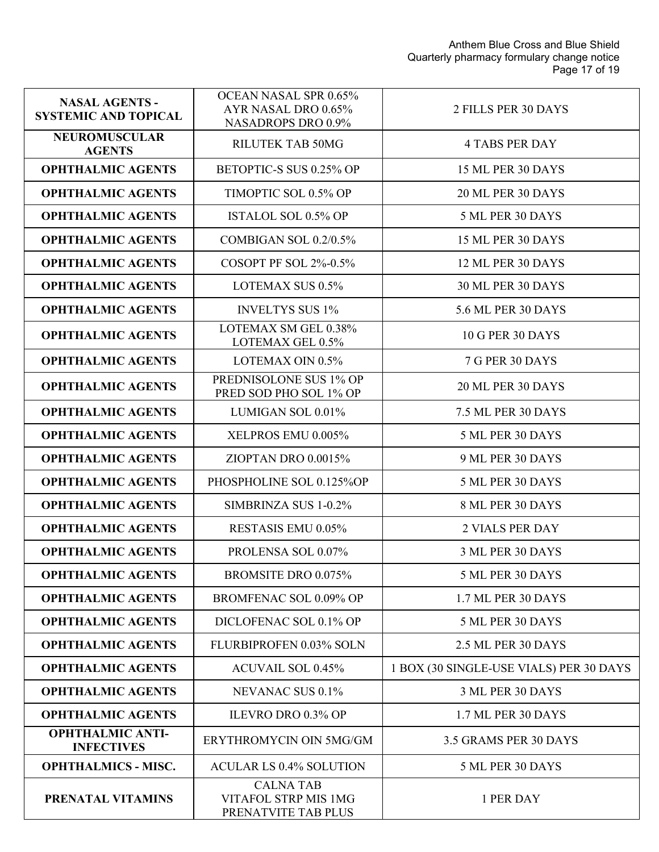| <b>NASAL AGENTS -</b><br><b>SYSTEMIC AND TOPICAL</b> | OCEAN NASAL SPR 0.65%<br>AYR NASAL DRO 0.65%<br><b>NASADROPS DRO 0.9%</b> | 2 FILLS PER 30 DAYS                     |
|------------------------------------------------------|---------------------------------------------------------------------------|-----------------------------------------|
| <b>NEUROMUSCULAR</b><br><b>AGENTS</b>                | <b>RILUTEK TAB 50MG</b>                                                   | <b>4 TABS PER DAY</b>                   |
| <b>OPHTHALMIC AGENTS</b>                             | BETOPTIC-S SUS 0.25% OP                                                   | 15 ML PER 30 DAYS                       |
| <b>OPHTHALMIC AGENTS</b>                             | TIMOPTIC SOL 0.5% OP                                                      | 20 ML PER 30 DAYS                       |
| <b>OPHTHALMIC AGENTS</b>                             | <b>ISTALOL SOL 0.5% OP</b>                                                | 5 ML PER 30 DAYS                        |
| <b>OPHTHALMIC AGENTS</b>                             | COMBIGAN SOL 0.2/0.5%                                                     | 15 ML PER 30 DAYS                       |
| <b>OPHTHALMIC AGENTS</b>                             | COSOPT PF SOL 2%-0.5%                                                     | 12 ML PER 30 DAYS                       |
| <b>OPHTHALMIC AGENTS</b>                             | LOTEMAX SUS 0.5%                                                          | 30 ML PER 30 DAYS                       |
| <b>OPHTHALMIC AGENTS</b>                             | <b>INVELTYS SUS 1%</b>                                                    | 5.6 ML PER 30 DAYS                      |
| <b>OPHTHALMIC AGENTS</b>                             | LOTEMAX SM GEL 0.38%<br>LOTEMAX GEL 0.5%                                  | <b>10 G PER 30 DAYS</b>                 |
| <b>OPHTHALMIC AGENTS</b>                             | LOTEMAX OIN 0.5%                                                          | 7 G PER 30 DAYS                         |
| <b>OPHTHALMIC AGENTS</b>                             | PREDNISOLONE SUS 1% OP<br>PRED SOD PHO SOL 1% OP                          | 20 ML PER 30 DAYS                       |
| <b>OPHTHALMIC AGENTS</b>                             | LUMIGAN SOL 0.01%                                                         | <b>7.5 ML PER 30 DAYS</b>               |
| <b>OPHTHALMIC AGENTS</b>                             | XELPROS EMU 0.005%                                                        | 5 ML PER 30 DAYS                        |
| <b>OPHTHALMIC AGENTS</b>                             | ZIOPTAN DRO 0.0015%                                                       | 9 ML PER 30 DAYS                        |
| <b>OPHTHALMIC AGENTS</b>                             | PHOSPHOLINE SOL 0.125%OP                                                  | 5 ML PER 30 DAYS                        |
| <b>OPHTHALMIC AGENTS</b>                             | SIMBRINZA SUS 1-0.2%                                                      | 8 ML PER 30 DAYS                        |
| <b>OPHTHALMIC AGENTS</b>                             | <b>RESTASIS EMU 0.05%</b>                                                 | <b>2 VIALS PER DAY</b>                  |
| <b>OPHTHALMIC AGENTS</b>                             | PROLENSA SOL 0.07%                                                        | 3 ML PER 30 DAYS                        |
| <b>OPHTHALMIC AGENTS</b>                             | <b>BROMSITE DRO 0.075%</b>                                                | 5 ML PER 30 DAYS                        |
| <b>OPHTHALMIC AGENTS</b>                             | <b>BROMFENAC SOL 0.09% OP</b>                                             | 1.7 ML PER 30 DAYS                      |
| <b>OPHTHALMIC AGENTS</b>                             | DICLOFENAC SOL 0.1% OP                                                    | 5 ML PER 30 DAYS                        |
| <b>OPHTHALMIC AGENTS</b>                             | FLURBIPROFEN 0.03% SOLN                                                   | 2.5 ML PER 30 DAYS                      |
| <b>OPHTHALMIC AGENTS</b>                             | <b>ACUVAIL SOL 0.45%</b>                                                  | 1 BOX (30 SINGLE-USE VIALS) PER 30 DAYS |
| <b>OPHTHALMIC AGENTS</b>                             | NEVANAC SUS 0.1%                                                          | 3 ML PER 30 DAYS                        |
| <b>OPHTHALMIC AGENTS</b>                             | <b>ILEVRO DRO 0.3% OP</b>                                                 | 1.7 ML PER 30 DAYS                      |
| <b>OPHTHALMIC ANTI-</b><br><b>INFECTIVES</b>         | ERYTHROMYCIN OIN 5MG/GM                                                   | 3.5 GRAMS PER 30 DAYS                   |
| <b>OPHTHALMICS - MISC.</b>                           | <b>ACULAR LS 0.4% SOLUTION</b>                                            | 5 ML PER 30 DAYS                        |
| PRENATAL VITAMINS                                    | <b>CALNATAB</b><br>VITAFOL STRP MIS 1MG<br>PRENATVITE TAB PLUS            | 1 PER DAY                               |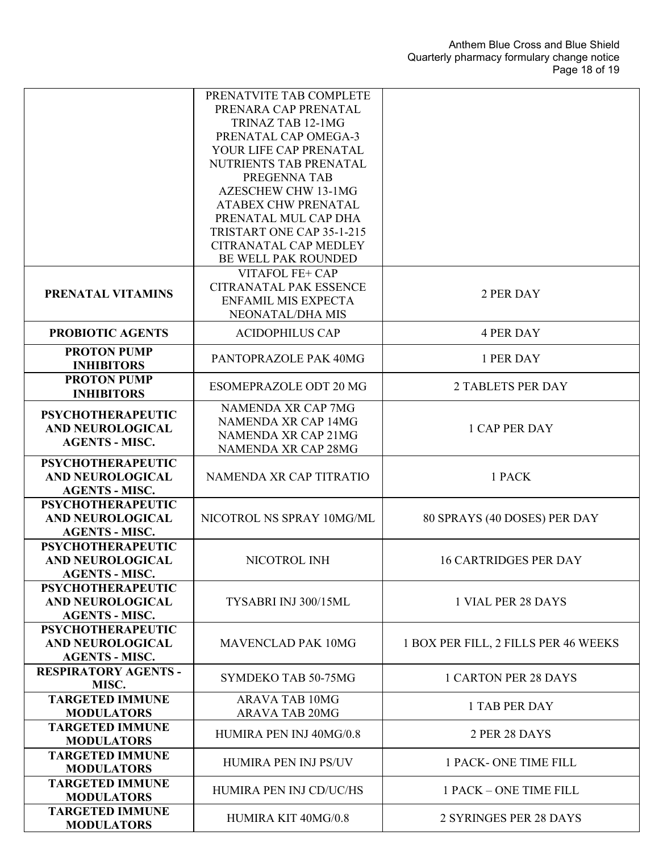|                                                     | PRENATVITE TAB COMPLETE<br>PRENARA CAP PRENATAL    |                                      |
|-----------------------------------------------------|----------------------------------------------------|--------------------------------------|
|                                                     | TRINAZ TAB 12-1MG                                  |                                      |
|                                                     | PRENATAL CAP OMEGA-3                               |                                      |
|                                                     | YOUR LIFE CAP PRENATAL                             |                                      |
|                                                     | NUTRIENTS TAB PRENATAL                             |                                      |
|                                                     | PREGENNA TAB                                       |                                      |
|                                                     | <b>AZESCHEW CHW 13-1MG</b>                         |                                      |
|                                                     | <b>ATABEX CHW PRENATAL</b>                         |                                      |
|                                                     | PRENATAL MUL CAP DHA                               |                                      |
|                                                     | TRISTART ONE CAP 35-1-215<br>CITRANATAL CAP MEDLEY |                                      |
|                                                     | BE WELL PAK ROUNDED                                |                                      |
|                                                     | VITAFOL FE+ CAP                                    |                                      |
|                                                     | <b>CITRANATAL PAK ESSENCE</b>                      |                                      |
| PRENATAL VITAMINS                                   | <b>ENFAMIL MIS EXPECTA</b>                         | 2 PER DAY                            |
|                                                     | NEONATAL/DHA MIS                                   |                                      |
| PROBIOTIC AGENTS                                    | <b>ACIDOPHILUS CAP</b>                             | <b>4 PER DAY</b>                     |
| <b>PROTON PUMP</b><br><b>INHIBITORS</b>             | PANTOPRAZOLE PAK 40MG                              | 1 PER DAY                            |
| <b>PROTON PUMP</b><br><b>INHIBITORS</b>             | <b>ESOMEPRAZOLE ODT 20 MG</b>                      | <b>2 TABLETS PER DAY</b>             |
|                                                     | NAMENDA XR CAP 7MG                                 |                                      |
| <b>PSYCHOTHERAPEUTIC</b>                            | <b>NAMENDA XR CAP 14MG</b>                         |                                      |
| <b>AND NEUROLOGICAL</b>                             | <b>NAMENDA XR CAP 21MG</b>                         | <b>1 CAP PER DAY</b>                 |
| <b>AGENTS - MISC.</b>                               | <b>NAMENDA XR CAP 28MG</b>                         |                                      |
| <b>PSYCHOTHERAPEUTIC</b>                            |                                                    |                                      |
| <b>AND NEUROLOGICAL</b><br><b>AGENTS - MISC.</b>    | NAMENDA XR CAP TITRATIO                            | 1 PACK                               |
| <b>PSYCHOTHERAPEUTIC</b>                            |                                                    |                                      |
| <b>AND NEUROLOGICAL</b>                             | NICOTROL NS SPRAY 10MG/ML                          | 80 SPRAYS (40 DOSES) PER DAY         |
| <b>AGENTS - MISC.</b>                               |                                                    |                                      |
| <b>PSYCHOTHERAPEUTIC</b>                            |                                                    |                                      |
| <b>AND NEUROLOGICAL</b>                             | NICOTROL INH                                       | <b>16 CARTRIDGES PER DAY</b>         |
| <b>AGENTS - MISC.</b>                               |                                                    |                                      |
| <b>PSYCHOTHERAPEUTIC</b><br><b>AND NEUROLOGICAL</b> | TYSABRI INJ 300/15ML                               | 1 VIAL PER 28 DAYS                   |
| <b>AGENTS - MISC.</b>                               |                                                    |                                      |
| <b>PSYCHOTHERAPEUTIC</b>                            |                                                    |                                      |
| AND NEUROLOGICAL                                    | <b>MAVENCLAD PAK 10MG</b>                          | 1 BOX PER FILL, 2 FILLS PER 46 WEEKS |
| <b>AGENTS - MISC.</b>                               |                                                    |                                      |
| <b>RESPIRATORY AGENTS -</b><br>MISC.                | SYMDEKO TAB 50-75MG                                | <b>1 CARTON PER 28 DAYS</b>          |
| <b>TARGETED IMMUNE</b>                              | <b>ARAVA TAB 10MG</b>                              |                                      |
| <b>MODULATORS</b>                                   | <b>ARAVA TAB 20MG</b>                              | <b>1 TAB PER DAY</b>                 |
| <b>TARGETED IMMUNE</b>                              | HUMIRA PEN INJ 40MG/0.8                            | 2 PER 28 DAYS                        |
| <b>MODULATORS</b>                                   |                                                    |                                      |
| <b>TARGETED IMMUNE</b>                              | HUMIRA PEN INJ PS/UV                               | <b>1 PACK-ONE TIME FILL</b>          |
| <b>MODULATORS</b><br><b>TARGETED IMMUNE</b>         |                                                    |                                      |
| <b>MODULATORS</b>                                   | HUMIRA PEN INJ CD/UC/HS                            | 1 PACK - ONE TIME FILL               |
| <b>TARGETED IMMUNE</b>                              |                                                    |                                      |
| <b>MODULATORS</b>                                   | HUMIRA KIT 40MG/0.8                                | 2 SYRINGES PER 28 DAYS               |